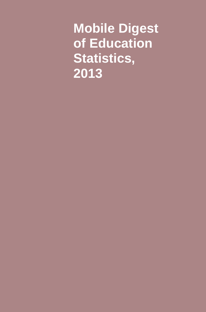**Mobile Digest of Education Statistics, 2013**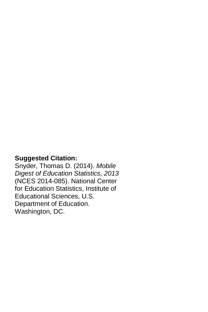#### **Suggested Citation:**

Snyder, Thomas D. (2014). *Mobile Digest of Education Statistics, 2013* (NCES 2014-085). National Center for Education Statistics, Institute of Educational Sciences, U.S. Department of Education. Washington, DC.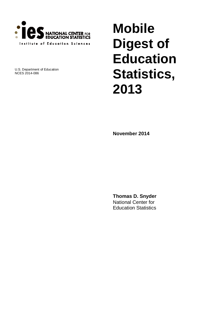

U.S. Department of Education NCES 2014-086

# **Mobile Digest of Education Statistics, 2013**

**November 2014**

**Thomas D. Snyder** National Center for Education Statistics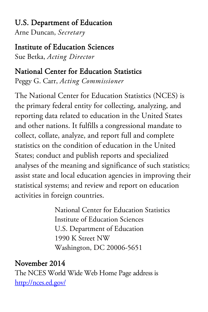## U.S. Department of Education

Arne Duncan, *Secretary*

## Institute of Education Sciences

Sue Betka, *Acting Director*

## National Center for Education Statistics

Peggy G. Carr, *Acting Commissioner*

The National Center for Education Statistics (NCES) is the primary federal entity for collecting, analyzing, and reporting data related to education in the United States and other nations. It fulfills a congressional mandate to collect, collate, analyze, and report full and complete statistics on the condition of education in the United States; conduct and publish reports and specialized analyses of the meaning and significance of such statistics; assist state and local education agencies in improving their statistical systems; and review and report on education activities in foreign countries.

> National Center for Education Statistics Institute of Education Sciences U.S. Department of Education 1990 K Street NW Washington, DC 20006-5651

## November 2014

The NCES World Wide Web Home Page address is <http://nces.ed.gov/>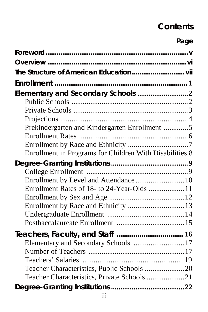## **Contents**

### **Page**

| Elementary and Secondary Schools 2<br>Prekindergarten and Kindergarten Enrollment 5                                     |  |
|-------------------------------------------------------------------------------------------------------------------------|--|
| Enrollment in Programs for Children With Disabilities 8                                                                 |  |
| Enrollment by Level and Attendance 10<br>Enrollment Rates of 18- to 24-Year-Olds  11                                    |  |
| Teachers, Faculty, and Staff  16<br>Elementary and Secondary Schools  17<br>Teacher Characteristics, Private Schools 21 |  |
|                                                                                                                         |  |
| iii                                                                                                                     |  |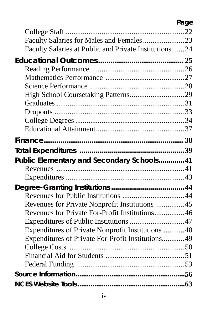### **Page**

| Faculty Salaries for Males and Females 23                                                        |  |
|--------------------------------------------------------------------------------------------------|--|
| Faculty Salaries at Public and Private Institutions24                                            |  |
|                                                                                                  |  |
|                                                                                                  |  |
|                                                                                                  |  |
|                                                                                                  |  |
|                                                                                                  |  |
|                                                                                                  |  |
|                                                                                                  |  |
|                                                                                                  |  |
|                                                                                                  |  |
|                                                                                                  |  |
|                                                                                                  |  |
|                                                                                                  |  |
|                                                                                                  |  |
| Public Elementary and Secondary Schools 41                                                       |  |
|                                                                                                  |  |
|                                                                                                  |  |
|                                                                                                  |  |
|                                                                                                  |  |
| Revenues for Private Nonprofit Institutions 45<br>Revenues for Private For-Profit Institutions46 |  |
| Expenditures of Public Institutions 47                                                           |  |
| Expenditures of Private Nonprofit Institutions  48                                               |  |
| Expenditures of Private For-Profit Institutions 49                                               |  |
|                                                                                                  |  |
|                                                                                                  |  |
|                                                                                                  |  |
|                                                                                                  |  |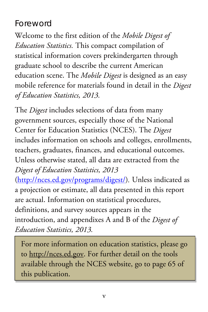## Foreword

Welcome to the first edition of the *Mobile Digest of Education Statistics.* This compact compilation of statistical information covers prekindergarten through graduate school to describe the current American education scene. The *Mobile Digest* is designed as an easy mobile reference for materials found in detail in the *Digest of Education Statistics, 2013.* 

The *Digest* includes selections of data from many government sources, especially those of the National Center for Education Statistics (NCES). The *Digest* includes information on schools and colleges, enrollments, teachers, graduates, finances, and educational outcomes. Unless otherwise stated, all data are extracted from the *Digest of Education Statistics, 2013* 

[\(http://nces.ed.gov/programs/digest/\)](http://nces.ed.gov/programs/digest/)*.* Unless indicated as a projection or estimate, all data presented in this report are actual. Information on statistical procedures, definitions, and survey sources appears in the introduction, and appendixes A and B of the *Digest of Education Statistics, 2013.*

For more information on education statistics, please go to http://nces.ed.gov. For further detail on the tools available through the NCES website, go to page 65 of this publication.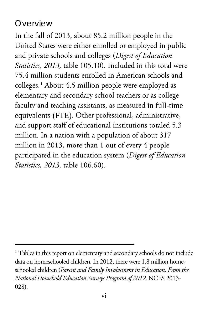### **Overview**

 $\overline{a}$ 

In the fall of 2013, about 85.2 million people in the United States were either enrolled or employed in public and private schools and colleges (*Digest of Education Statistics, 2013,* table 105.10). Included in this total were 75.4 million students enrolled in American schools and colleges.[1](#page-7-0) About 4.5 million people were employed as elementary and secondary school teachers or as college faculty and teaching assistants, as measured in full-time equivalents (FTE). Other professional, administrative, and support staff of educational institutions totaled 5.3 million. In a nation with a population of about 317 million in 2013, more than 1 out of every 4 people participated in the education system (*Digest of Education Statistics, 2013,* table 106.60).

<span id="page-7-0"></span><sup>&</sup>lt;sup>1</sup> Tables in this report on elementary and secondary schools do not include data on homeschooled children. In 2012, there were 1.8 million homeschooled children (*Parent and Family Involvement in Education, From the National Household Education Surveys Program of 2012,* NCES 2013- 028).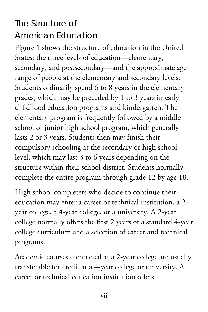## The Structure of American Education

Figure 1 shows the structure of education in the United States: the three levels of education—elementary, secondary, and postsecondary—and the approximate age range of people at the elementary and secondary levels. Students ordinarily spend 6 to 8 years in the elementary grades, which may be preceded by 1 to 3 years in early childhood education programs and kindergarten. The elementary program is frequently followed by a middle school or junior high school program, which generally lasts 2 or 3 years. Students then may finish their compulsory schooling at the secondary or high school level, which may last 3 to 6 years depending on the structure within their school district. Students normally complete the entire program through grade 12 by age 18.

High school completers who decide to continue their education may enter a career or technical institution, a 2 year college, a 4-year college, or a university. A 2-year college normally offers the first 2 years of a standard 4-year college curriculum and a selection of career and technical programs.

Academic courses completed at a 2-year college are usually transferable for credit at a 4-year college or university. A career or technical education institution offers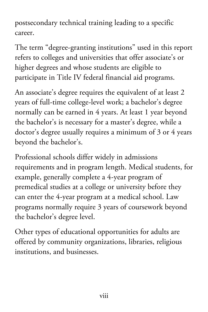postsecondary technical training leading to a specific career.

The term "degree-granting institutions" used in this report refers to colleges and universities that offer associate's or higher degrees and whose students are eligible to participate in Title IV federal financial aid programs.

An associate's degree requires the equivalent of at least 2 years of full-time college-level work; a bachelor's degree normally can be earned in 4 years. At least 1 year beyond the bachelor's is necessary for a master's degree, while a doctor's degree usually requires a minimum of 3 or 4 years beyond the bachelor's.

Professional schools differ widely in admissions requirements and in program length. Medical students, for example, generally complete a 4-year program of premedical studies at a college or university before they can enter the 4-year program at a medical school. Law programs normally require 3 years of coursework beyond the bachelor's degree level.

Other types of educational opportunities for adults are offered by community organizations, libraries, religious institutions, and businesses.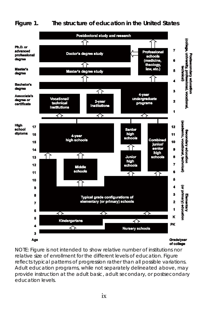#### **Figure 1. The structure of education in the United States**



NOTE: Figure is not intended to show relative number of institutions nor relative size of enrollment for the different levels of education. Figure reflects typical patterns of progression rather than all possible variations. Adult education programs, while not separately delineated above, may provide instruction at the adult basic, adult secondary, or postsecondary education levels.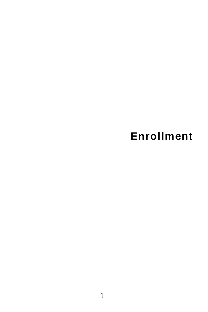# **Enrollment**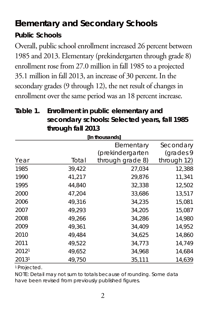## **Elementary and Secondary Schools**

### **Public Schools**

Overall, public school enrollment increased 26 percent between 1985 and 2013. Elementary (prekindergarten through grade 8) enrollment rose from 27.0 million in fall 1985 to a projected 35.1 million in fall 2013, an increase of 30 percent. In the secondary grades (9 through 12), the net result of changes in enrollment over the same period was an 18 percent increase.

### **Table 1. Enrollment in public elementary and secondary schools: Selected years, fall 1985 through fall 2013**

| [In thousands] |                         |                  |             |  |  |  |  |
|----------------|-------------------------|------------------|-------------|--|--|--|--|
|                | Secondary<br>Elementary |                  |             |  |  |  |  |
|                |                         | (prekindergarten | (grades 9   |  |  |  |  |
| Year           | Total                   | through grade 8) | through 12) |  |  |  |  |
| 1985           | 39.422                  | 27,034           | 12,388      |  |  |  |  |
| 1990           | 41,217                  | 29,876           | 11,341      |  |  |  |  |
| 1995           | 44,840                  | 32,338           | 12,502      |  |  |  |  |
| 2000           | 47,204                  | 33,686           | 13,517      |  |  |  |  |
| 2006           | 49,316                  | 34,235           | 15,081      |  |  |  |  |
| 2007           | 49,293                  | 34,205           | 15,087      |  |  |  |  |
| 2008           | 49,266                  | 34,286           | 14,980      |  |  |  |  |
| 2009           | 49.361                  | 34,409           | 14,952      |  |  |  |  |
| 2010           | 49,484                  | 34,625           | 14,860      |  |  |  |  |
| 2011           | 49,522                  | 34,773           | 14,749      |  |  |  |  |
| 20121          | 49,652                  | 34,968           | 14,684      |  |  |  |  |
| 20131          | 49,750                  | 35,111           | 14,639      |  |  |  |  |

1 Projected.

NOTE: Detail may not sum to totals because of rounding. Some data have been revised from previously published figures.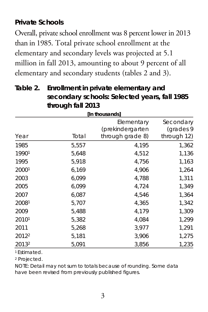### **Private Schools**

Overall, private school enrollment was 8 percent lower in 2013 than in 1985. Total private school enrollment at the elementary and secondary levels was projected at 5.1 million in fall 2013, amounting to about 9 percent of all elementary and secondary students (tables 2 and 3).

| Table 2. Enrollment in private elementary and |
|-----------------------------------------------|
| secondary schools: Selected years, fall 1985  |
| through fall 2013                             |

|       | through fall 2013 |                                                    |                        |  |  |  |  |
|-------|-------------------|----------------------------------------------------|------------------------|--|--|--|--|
|       | [In thousands]    |                                                    |                        |  |  |  |  |
| Year  | Total             | Elementary<br>(prekindergarten<br>through grade 8) | Secondary<br>(grades 9 |  |  |  |  |
|       |                   |                                                    | through 12)            |  |  |  |  |
| 1985  | 5,557             | 4,195                                              | 1,362                  |  |  |  |  |
| 19901 | 5,648             | 4,512                                              | 1,136                  |  |  |  |  |
| 1995  | 5,918             | 4,756                                              | 1,163                  |  |  |  |  |
| 20001 | 6,169             | 4,906                                              | 1,264                  |  |  |  |  |
| 2003  | 6,099             | 4,788                                              | 1,311                  |  |  |  |  |
| 2005  | 6,099             | 4,724                                              | 1,349                  |  |  |  |  |
| 2007  | 6,087             | 4,546                                              | 1,364                  |  |  |  |  |
| 20081 | 5,707             | 4,365                                              | 1,342                  |  |  |  |  |
| 2009  | 5,488             | 4,179                                              | 1,309                  |  |  |  |  |
| 20101 | 5,382             | 4,084                                              | 1,299                  |  |  |  |  |
| 2011  | 5,268             | 3.977                                              | 1,291                  |  |  |  |  |

1 Estimated.

<sup>2</sup> Projected.

NOTE: Detail may not sum to totals because of rounding. Some data have been revised from previously published figures.

20122 5,181 3,906 1,275 20132 5,091 3,856 1,235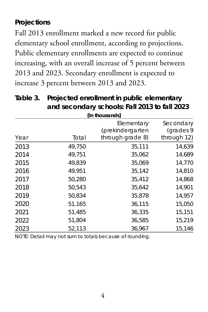### **Projections**

Fall 2013 enrollment marked a new record for public elementary school enrollment, according to projections. Public elementary enrollments are expected to continue increasing, with an overall increase of 5 percent between 2013 and 2023. Secondary enrollment is expected to increase 3 percent between 2013 and 2023.

|      | [In thousands] |                                                    |                                       |  |  |  |
|------|----------------|----------------------------------------------------|---------------------------------------|--|--|--|
| Year | Total          | Elementary<br>(prekindergarten<br>through grade 8) | Secondary<br>(grades 9<br>through 12) |  |  |  |
| 2013 | 49,750         | 35,111                                             | 14.639                                |  |  |  |
| 2014 | 49,751         | 35,062                                             | 14,689                                |  |  |  |
| 2015 | 49,839         | 35,069                                             | 14,770                                |  |  |  |
| 2016 | 49.951         | 35,142                                             | 14,810                                |  |  |  |
| 2017 | 50.280         | 35.412                                             | 14.868                                |  |  |  |
| 2018 | 50.543         | 35,642                                             | 14,901                                |  |  |  |
| 2019 | 50,834         | 35,878                                             | 14,957                                |  |  |  |
| 2020 | 51,165         | 36,115                                             | 15,050                                |  |  |  |
| 2021 | 51.485         | 36,335                                             | 15,151                                |  |  |  |
| 2022 | 51,804         | 36,585                                             | 15,219                                |  |  |  |
| 2023 | 52.113         | 36,967                                             | 15,146                                |  |  |  |

**Table 3. Projected enrollment in public elementary and secondary schools: Fall 2013 to fall 2023**

NOTE: Detail may not sum to totals because of rounding.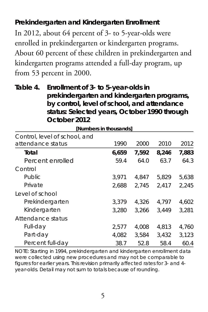### **Prekindergarten and Kindergarten Enrollment**

In 2012, about 64 percent of 3- to 5-year-olds were enrolled in prekindergarten or kindergarten programs. About 60 percent of these children in prekindergarten and kindergarten programs attended a full-day program, up from 53 percent in 2000.

### **Table 4. Enrollment of 3- to 5-year-olds in prekindergarten and kindergarten programs, by control, level of school, and attendance status: Selected years, October 1990 through October 2012**

| Mumbers in thousandsl         |       |       |       |       |  |  |
|-------------------------------|-------|-------|-------|-------|--|--|
| Control, level of school, and |       |       |       |       |  |  |
| attendance status             | 1990  | 2000  | 2010  | 2012  |  |  |
| Total                         | 6,659 | 7,592 | 8,246 | 7,883 |  |  |
| Percent enrolled              | 59.4  | 64.0  | 63.7  | 64.3  |  |  |
| Control                       |       |       |       |       |  |  |
| <b>Public</b>                 | 3.971 | 4.847 | 5.829 | 5.638 |  |  |
| Private                       | 2.688 | 2.745 | 2.417 | 2.245 |  |  |
| Level of school               |       |       |       |       |  |  |
| Prekindergarten               | 3.379 | 4.326 | 4.797 | 4.602 |  |  |
| Kindergarten                  | 3.280 | 3.266 | 3.449 | 3.281 |  |  |
| Attendance status             |       |       |       |       |  |  |
| Full-day                      | 2.577 | 4.008 | 4.813 | 4.760 |  |  |
| Part-day                      | 4.082 | 3.584 | 3.432 | 3.123 |  |  |
| Percent full-day              | 38.7  | 52.8  | 58.4  | 60.4  |  |  |

NOTE: Starting in 1994, prekindergarten and kindergarten enrollment data were collected using new procedures and may not be comparable to figures for earlier years. This revision primarily affected rates for 3- and 4 year-olds. Detail may not sum to totals because of rounding.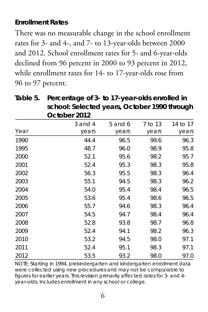### **Enrollment Rates**

There was no measurable change in the school enrollment rates for 3- and 4-, and 7- to 13-year-olds between 2000 and 2012. School enrollment rates for 5- and 6-year-olds declined from 96 percent in 2000 to 93 percent in 2012, while enrollment rates for 14- to 17-year-olds rose from 96 to 97 percent.

|      | October 2012 |             |         |          |
|------|--------------|-------------|---------|----------|
|      | $3$ and $4$  | $5$ and $6$ | 7 to 13 | 14 to 17 |
| Year | years        | years       | years   | years    |
| 1990 | 44.4         | 96.5        | 99.6    | 96.3     |
| 1995 | 48.7         | 96.0        | 98.9    | 95.8     |
| 2000 | 52.1         | 95.6        | 98.2    | 95.7     |
| 2001 | 52.4         | 95.3        | 98.3    | 95.8     |
| 2002 | 56.3         | 95.5        | 98.3    | 96.4     |
| 2003 | 55.1         | 94.5        | 98.3    | 96.2     |
| 2004 | 54.0         | 95.4        | 98.4    | 96.5     |
| 2005 | 53.6         | 95.4        | 98.6    | 96.5     |
| 2006 | 55.7         | 94.6        | 98.3    | 96.4     |
| 2007 | 54.5         | 94.7        | 98.4    | 96.4     |
| 2008 | 52.8         | 93.8        | 98.7    | 96.8     |
| 2009 | 52.4         | 94.1        | 98.2    | 96.3     |
| 2010 | 53.2         | 94.5        | 98.0    | 97.1     |
| 2011 | 52.4         | 95.1        | 98.3    | 97.1     |
| 2012 | 53.5         | 93.2        | 98.0    | 97.0     |

**Table 5. Percentage of 3- to 17-year-olds enrolled in school: Selected years, October 1990 through October 2012**

NOTE: Starting in 1994, prekindergarten and kindergarten enrollment data were collected using new procedures and may not be comparable to figures for earlier years. This revision primarily affected rates for 3- and 4 year-olds. Includes enrollment in any school or college.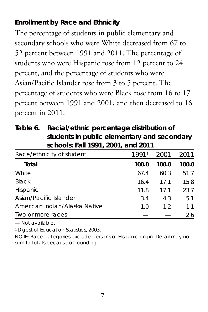### **Enrollment by Race and Ethnicity**

The percentage of students in public elementary and secondary schools who were White decreased from 67 to 52 percent between 1991 and 2011. The percentage of students who were Hispanic rose from 12 percent to 24 percent, and the percentage of students who were Asian/Pacific Islander rose from 3 to 5 percent. The percentage of students who were Black rose from 16 to 17 percent between 1991 and 2001, and then decreased to 16 percent in 2011.

**Table 6. Racial/ethnic percentage distribution of students in public elementary and secondary schools: Fall 1991, 2001, and 2011**

| Race/ethnicity of student     | 19911 | 2001  | 2011  |
|-------------------------------|-------|-------|-------|
| Total                         | 100.0 | 100.0 | 100.0 |
| White                         | 67.4  | 60.3  | 51.7  |
| Black                         | 16.4  | 17.1  | 15.8  |
| Hispanic                      | 11.8  | 171   | 23.7  |
| Asian/Pacific Islander        | 3.4   | 4.3   | 5.1   |
| American Indian/Alaska Native | 1.0   | 1.2   | 1.1   |
| Two or more races             |       |       | 2.6   |

— Not available.

1 Digest of Education Statistics, 2003.

NOTE: Race categories exclude persons of Hispanic origin. Detail may not sum to totals because of rounding.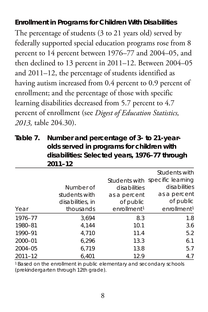#### **Enrollment in Programs for Children With Disabilities**

The percentage of students (3 to 21 years old) served by federally supported special education programs rose from 8 percent to 14 percent between 1976–77 and 2004–05, and then declined to 13 percent in 2011–12. Between 2004–05 and 2011–12, the percentage of students identified as having autism increased from 0.4 percent to 0.9 percent of enrollment; and the percentage of those with specific learning disabilities decreased from 5.7 percent to 4.7 percent of enrollment (see *Digest of Education Statistics, 2013,* table 204.30).

**Table 7. Number and percentage of 3- to 21-yearolds served in programs for children with disabilities: Selected years, 1976–77 through 2011–12**

|             |                  |                         | Students with                   |
|-------------|------------------|-------------------------|---------------------------------|
|             |                  |                         | Students with specific learning |
|             | Number of        | disabilities            | disabilities                    |
|             | students with    | as a percent            | as a percent                    |
|             | disabilities, in | of public               | of public                       |
| Year        | thousands        | enrollment <sup>1</sup> | enrollment <sup>1</sup>         |
| 1976-77     | 3.694            | 8.3                     | 1.8                             |
| 1980-81     | 4,144            | 10.1                    | 3.6                             |
| 1990-91     | 4.710            | 11.4                    | 5.2                             |
| 2000-01     | 6,296            | 13.3                    | 6.1                             |
| 2004-05     | 6,719            | 13.8                    | 5.7                             |
| $2011 - 12$ | 6.401            | 12.9                    | 4.7                             |

1 Based on the enrollment in public elementary and secondary schools (prekindergarten through 12th grade).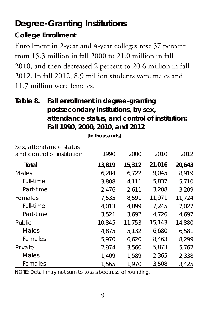## **Degree-Granting Institutions**

### **College Enrollment**

Enrollment in 2-year and 4-year colleges rose 37 percent from 15.3 million in fall 2000 to 21.0 million in fall 2010, and then decreased 2 percent to 20.6 million in fall 2012. In fall 2012, 8.9 million students were males and 11.7 million were females.

### **Table 8. Fall enrollment in degree-granting postsecondary institutions, by sex, attendance status, and control of institution: Fall 1990, 2000, 2010, and 2012**

**[In thousands]**

| Sex, attendance status,<br>and control of institution | 1990   | 2000   | 2010   | 2012   |
|-------------------------------------------------------|--------|--------|--------|--------|
| Total                                                 | 13,819 | 15,312 | 21,016 | 20,643 |
| Males                                                 | 6,284  | 6,722  | 9,045  | 8.919  |
| Full-time                                             | 3.808  | 4.111  | 5,837  | 5,710  |
| Part-time                                             | 2.476  | 2.611  | 3,208  | 3.209  |
| Females                                               | 7.535  | 8.591  | 11,971 | 11.724 |
| Full-time                                             | 4,013  | 4.899  | 7,245  | 7.027  |
| Part-time                                             | 3.521  | 3.692  | 4.726  | 4.697  |
| Public                                                | 10.845 | 11.753 | 15,143 | 14.880 |
| Males                                                 | 4.875  | 5.132  | 6,680  | 6.581  |
| Females                                               | 5.970  | 6.620  | 8,463  | 8.299  |
| Private                                               | 2.974  | 3.560  | 5,873  | 5.762  |
| Males                                                 | 1.409  | 1.589  | 2,365  | 2.338  |
| Females                                               | 1.565  | 1.970  | 3,508  | 3,425  |

NOTE: Detail may not sum to totals because of rounding.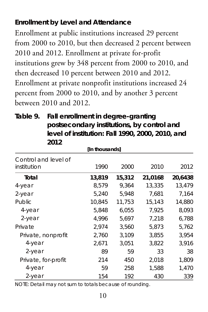### **Enrollment by Level and Attendance**

Enrollment at public institutions increased 29 percent from 2000 to 2010, but then decreased 2 percent between 2010 and 2012. Enrollment at private for-profit institutions grew by 348 percent from 2000 to 2010, and then decreased 10 percent between 2010 and 2012. Enrollment at private nonprofit institutions increased 24 percent from 2000 to 2010, and by another 3 percent between 2010 and 2012.

| 20 I 2                              |        |        |         |         |  |  |
|-------------------------------------|--------|--------|---------|---------|--|--|
| [In thousands]                      |        |        |         |         |  |  |
| Control and level of<br>institution | 1990   | 2000   | 2010    | 2012    |  |  |
| Total                               | 13,819 | 15,312 | 21,0168 | 20,6438 |  |  |
| 4-year                              | 8,579  | 9.364  | 13.335  | 13,479  |  |  |
| 2-year                              | 5.240  | 5,948  | 7,681   | 7.164   |  |  |
| Public                              | 10,845 | 11,753 | 15,143  | 14,880  |  |  |
| 4-year                              | 5.848  | 6.055  | 7.925   | 8,093   |  |  |
| 2-year                              | 4.996  | 5.697  | 7.218   | 6.788   |  |  |
| Private                             | 2,974  | 3,560  | 5,873   | 5,762   |  |  |
| Private, nonprofit                  | 2,760  | 3,109  | 3,855   | 3,954   |  |  |
| 4-year                              | 2,671  | 3,051  | 3,822   | 3,916   |  |  |
| 2-year                              | 89     | 59     | 33      | 38      |  |  |
| Private, for-profit                 | 214    | 450    | 2,018   | 1,809   |  |  |
| 4-year                              | 59     | 258    | 1,588   | 1,470   |  |  |
| $2$ -year                           | 154    | 192    | 430     | 339     |  |  |

**Table 9. Fall enrollment in degree-granting postsecondary institutions, by control and level of institution: Fall 1990, 2000, 2010, and 2012**

NOTE: Detail may not sum to totals because of rounding.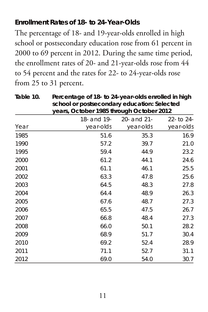### **Enrollment Rates of 18- to 24-Year-Olds**

The percentage of 18- and 19-year-olds enrolled in high school or postsecondary education rose from 61 percent in 2000 to 69 percent in 2012. During the same time period, the enrollment rates of 20- and 21-year-olds rose from 44 to 54 percent and the rates for 22- to 24-year-olds rose from 25 to 31 percent.

|      |             | school or postsecondary education: Selected<br>years, October 1985 through October 2012 |            |  |  |
|------|-------------|-----------------------------------------------------------------------------------------|------------|--|--|
|      | 18- and 19- | 20- and 21-                                                                             | 22- to 24- |  |  |
| Year | year-olds   | year-olds                                                                               | year-olds  |  |  |
| 1985 | 51.6        | 35.3                                                                                    | 16.9       |  |  |
| 1990 | 57.2        | 39.7                                                                                    | 21.0       |  |  |
| 1995 | 59.4        | 44.9                                                                                    | 23.2       |  |  |
| 2000 | 61.2        | 44.1                                                                                    | 24.6       |  |  |
| 2001 | 61.1        | 46.1                                                                                    | 25.5       |  |  |
| 2002 | 63.3        | 47.8                                                                                    | 25.6       |  |  |
| 2003 | 64.5        | 48.3                                                                                    | 27.8       |  |  |
| 2004 | 64.4        | 48.9                                                                                    | 26.3       |  |  |
| 2005 | 67.6        | 48.7                                                                                    | 27.3       |  |  |
| 2006 | 65.5        | 47.5                                                                                    | 26.7       |  |  |
| 2007 | 66.8        | 48.4                                                                                    | 27.3       |  |  |
| 2008 | 66.0        | 50.1                                                                                    | 28.2       |  |  |
| 2009 | 68.9        | 51.7                                                                                    | 30.4       |  |  |
| 2010 | 69.2        | 52.4                                                                                    | 28.9       |  |  |
| 2011 | 71.1        | 52.7                                                                                    | 31.1       |  |  |
| 2012 | 69.0        | 54.0                                                                                    | 30.7       |  |  |

**Table 10. Percentage of 18- to 24-year-olds enrolled in high**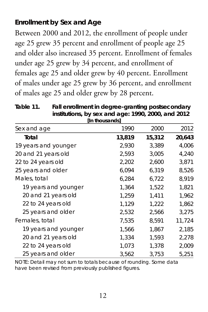### **Enrollment by Sex and Age**

Between 2000 and 2012, the enrollment of people under age 25 grew 35 percent and enrollment of people age 25 and older also increased 35 percent. Enrollment of females under age 25 grew by 34 percent, and enrollment of females age 25 and older grew by 40 percent. Enrollment of males under age 25 grew by 36 percent, and enrollment of males age 25 and older grew by 28 percent.

**Table 11. Fall enrollment in degree-granting postsecondary institutions, by sex and age: 1990, 2000, and 2012 [In thousands]**

|                      | ונטטווטשטוויון |        |        |
|----------------------|----------------|--------|--------|
| Sex and age          | 1990           | 2000   | 2012   |
| Total                | 13,819         | 15,312 | 20,643 |
| 19 years and younger | 2,930          | 3,389  | 4,006  |
| 20 and 21 years old  | 2,593          | 3,005  | 4,240  |
| 22 to 24 years old   | 2,202          | 2,600  | 3,871  |
| 25 years and older   | 6,094          | 6,319  | 8,526  |
| Males, total         | 6,284          | 6,722  | 8,919  |
| 19 years and younger | 1,364          | 1,522  | 1,821  |
| 20 and 21 years old  | 1.259          | 1.411  | 1.962  |
| 22 to 24 years old   | 1,129          | 1,222  | 1,862  |
| 25 years and older   | 2,532          | 2,566  | 3,275  |
| Females, total       | 7.535          | 8.591  | 11,724 |
| 19 years and younger | 1,566          | 1,867  | 2,185  |
| 20 and 21 years old  | 1,334          | 1,593  | 2,278  |
| 22 to 24 years old   | 1,073          | 1,378  | 2,009  |
| 25 years and older   | 3,562          | 3,753  | 5,251  |

NOTE: Detail may not sum to totals because of rounding. Some data have been revised from previously published figures.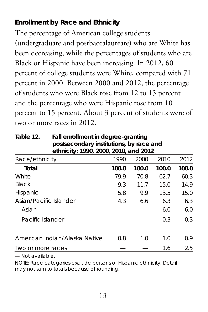### **Enrollment by Race and Ethnicity**

The percentage of American college students (undergraduate and postbaccalaureate) who are White has been decreasing, while the percentages of students who are Black or Hispanic have been increasing. In 2012, 60 percent of college students were White, compared with 71 percent in 2000. Between 2000 and 2012, the percentage of students who were Black rose from 12 to 15 percent and the percentage who were Hispanic rose from 10 percent to 15 percent. About 3 percent of students were of two or more races in 2012.

| postsecondary institutions, by race and |                                       |       |       |       |  |  |  |
|-----------------------------------------|---------------------------------------|-------|-------|-------|--|--|--|
|                                         | ethnicity: 1990, 2000, 2010, and 2012 |       |       |       |  |  |  |
| Race/ethnicity                          | 1990                                  | 2000  | 2010  | 2012  |  |  |  |
| Total                                   | 100.0                                 | 100.0 | 100.0 | 100.0 |  |  |  |
| White                                   | 79.9                                  | 70.8  | 62.7  | 60.3  |  |  |  |
| <b>Black</b>                            | 9.3                                   | 117   | 15.0  | 14.9  |  |  |  |
| Hispanic                                | 5.8                                   | 9.9   | 13.5  | 15.0  |  |  |  |
| Asian/Pacific Islander                  | 4.3                                   | 6.6   | 6.3   | 6.3   |  |  |  |
| Asian                                   |                                       |       | 6.0   | 6.0   |  |  |  |
| Pacific Islander                        |                                       |       | 0.3   | 0.3   |  |  |  |
| American Indian/Alaska Native           | 0.8                                   | 1.0   | 1.0   | 0.9   |  |  |  |
| Iwo or more races                       |                                       |       | 1.6   | 2.5   |  |  |  |

**Table 12. Fall enrollment in degree-granting postsecondary institutions, by race and** 

— Not available.

NOTE: Race categories exclude persons of Hispanic ethnicity. Detail may not sum to totals because of rounding.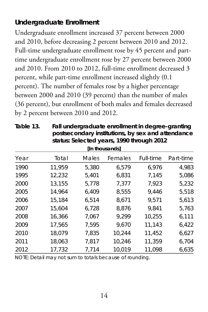### **Undergraduate Enrollment**

Undergraduate enrollment increased 37 percent between 2000 and 2010, before decreasing 2 percent between 2010 and 2012. Full-time undergraduate enrollment rose by 45 percent and parttime undergraduate enrollment rose by 27 percent between 2000 and 2010. From 2010 to 2012, full-time enrollment decreased 3 percent, while part-time enrollment increased slightly (0.1 percent). The number of females rose by a higher percentage between 2000 and 2010 (39 percent) than the number of males (36 percent), but enrollment of both males and females decreased by 2 percent between 2010 and 2012.

| status: Selected years, 1990 through 2012 |                |       |         |           |           |  |  |
|-------------------------------------------|----------------|-------|---------|-----------|-----------|--|--|
|                                           | [In thousands] |       |         |           |           |  |  |
| Year                                      | Total          | Males | Females | Full-time | Part-time |  |  |
| 1990                                      | 11.959         | 5.380 | 6.579   | 6.976     | 4.983     |  |  |
| 1995                                      | 12,232         | 5,401 | 6,831   | 7,145     | 5,086     |  |  |
| 2000                                      | 13,155         | 5.778 | 7.377   | 7.923     | 5,232     |  |  |
| 2005                                      | 14,964         | 6,409 | 8,555   | 9.446     | 5,518     |  |  |
| 2006                                      | 15,184         | 6.514 | 8,671   | 9.571     | 5,613     |  |  |
| 2007                                      | 15.604         | 6,728 | 8.876   | 9.841     | 5.763     |  |  |
| 2008                                      | 16.366         | 7,067 | 9,299   | 10.255    | 6,111     |  |  |
| 2009                                      | 17.565         | 7.595 | 9.670   | 11.143    | 6.422     |  |  |
| 2010                                      | 18,079         | 7,835 | 10.244  | 11,452    | 6,627     |  |  |
| 2011                                      | 18,063         | 7,817 | 10,246  | 11,359    | 6,704     |  |  |
| 2012                                      | 17,732         | 7,714 | 10,019  | 11,098    | 6,635     |  |  |

**Table 13. Fall undergraduate enrollment in degree-granting postsecondary institutions, by sex and attendance** 

NOTE: Detail may not sum to totals because of rounding.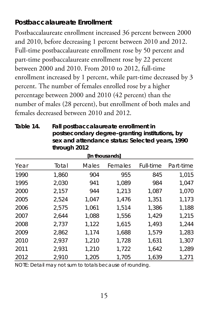### **Postbaccalaureate Enrollment**

Postbaccalaureate enrollment increased 36 percent between 2000 and 2010, before decreasing 1 percent between 2010 and 2012. Full-time postbaccalaureate enrollment rose by 50 percent and part-time postbaccalaureate enrollment rose by 22 percent between 2000 and 2010. From 2010 to 2012, full-time enrollment increased by 1 percent, while part-time decreased by 3 percent. The number of females enrolled rose by a higher percentage between 2000 and 2010 (42 percent) than the number of males (28 percent), but enrollment of both males and females decreased between 2010 and 2012.

**Table 14. Fall postbaccalaureate enrollment in postsecondary degree-granting institutions, by sex and attendance status: Selected years, 1990 through 2012**

| [In thousands] |       |       |         |           |           |
|----------------|-------|-------|---------|-----------|-----------|
| Year           | Total | Males | Females | Full-time | Part-time |
| 1990           | 1.860 | 904   | 955     | 845       | 1.015     |
| 1995           | 2,030 | 941   | 1.089   | 984       | 1,047     |
| 2000           | 2,157 | 944   | 1,213   | 1,087     | 1,070     |
| 2005           | 2,524 | 1.047 | 1.476   | 1,351     | 1,173     |
| 2006           | 2,575 | 1.061 | 1.514   | 1,386     | 1,188     |
| 2007           | 2.644 | 1.088 | 1,556   | 1,429     | 1,215     |
| 2008           | 2,737 | 1,122 | 1.615   | 1.493     | 1.244     |
| 2009           | 2.862 | 1,174 | 1.688   | 1.579     | 1.283     |
| 2010           | 2.937 | 1,210 | 1.728   | 1.631     | 1.307     |
| 2011           | 2,931 | 1,210 | 1,722   | 1,642     | 1,289     |
| 2012           | 2.910 | 1.205 | 1.705   | 1.639     | 1.271     |

NOTE: Detail may not sum to totals because of rounding.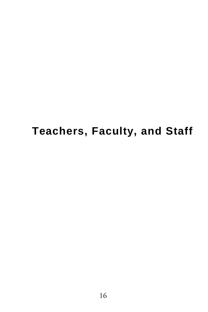# **Teachers, Faculty, and Staff**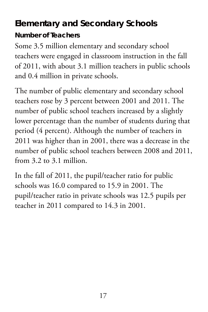## **Elementary and Secondary Schools**

**Number of Teachers**

Some 3.5 million elementary and secondary school teachers were engaged in classroom instruction in the fall of 2011, with about 3.1 million teachers in public schools and 0.4 million in private schools.

The number of public elementary and secondary school teachers rose by 3 percent between 2001 and 2011. The number of public school teachers increased by a slightly lower percentage than the number of students during that period (4 percent). Although the number of teachers in 2011 was higher than in 2001, there was a decrease in the number of public school teachers between 2008 and 2011, from 3.2 to 3.1 million.

In the fall of 2011, the pupil/teacher ratio for public schools was 16.0 compared to 15.9 in 2001. The pupil/teacher ratio in private schools was 12.5 pupils per teacher in 2011 compared to 14.3 in 2001.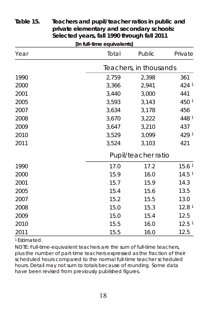| [In full-time equivalents] |       |                        |                   |  |  |
|----------------------------|-------|------------------------|-------------------|--|--|
| Year                       | Total | Public                 | Private           |  |  |
|                            |       | Teachers, in thousands |                   |  |  |
| 1990                       | 2.759 | 2,398                  | 361               |  |  |
| 2000                       | 3,366 | 2,941                  | 424 1             |  |  |
| 2001                       | 3,440 | 3,000                  | 441               |  |  |
| 2005                       | 3,593 | 3,143                  | 450 1             |  |  |
| 2007                       | 3,634 | 3,178                  | 456               |  |  |
| 2008                       | 3,670 | 3,222                  | 448 1             |  |  |
| 2009                       | 3.647 | 3,210                  | 437               |  |  |
| 2010                       | 3,529 | 3,099                  | 429 <sup>1</sup>  |  |  |
| 2011                       | 3,524 | 3,103                  | 421               |  |  |
|                            |       | Pupil/teacher ratio    |                   |  |  |
| 1990                       | 17.0  | 17.2                   | 15.6 <sup>1</sup> |  |  |
| 2000                       | 15.9  | 16.0                   | 14.5 <sup>1</sup> |  |  |
| 2001                       | 15.7  | 15.9                   | 14.3              |  |  |
| 2005                       | 15.4  | 15.6                   | 13.5              |  |  |
| 2007                       | 15.2  | 15.5                   | 13.0              |  |  |
| 2008                       | 15.0  | 15.3                   | 12.8 <sup>1</sup> |  |  |
| 2009                       | 15.0  | 15.4                   | 12.5              |  |  |
| 2010                       | 15.5  | 16.0                   | 12.5 <sup>1</sup> |  |  |
| 2011                       | 15.5  | 16.0                   | 12.5              |  |  |

#### **Table 15. Teachers and pupil/teacher ratios in public and private elementary and secondary schools: Selected years, fall 1990 through fall 2011**

1 Estimated.

NOTE: Full-time-equivalent teachers are the sum of full-time teachers, plus the number of part-time teachers expressed as the fraction of their scheduled hours compared to the normal full-time teacher scheduled hours. Detail may not sum to totals because of rounding. Some data have been revised from previously published figures.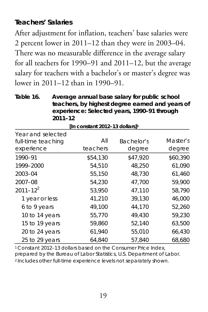### **Teachers' Salaries**

After adjustment for inflation, teachers' base salaries were 2 percent lower in 2011–12 than they were in 2003–04. There was no measurable difference in the average salary for all teachers for 1990–91 and 2011–12, but the average salary for teachers with a bachelor's or master's degree was lower in 2011–12 than in 1990–91.

**Table 16. Average annual base salary for public school teachers, by highest degree earned and years of experience: Selected years, 1990–91 through 2011–12 [In constant 2012–13 dollars]1**

| iin constant zu iz- is dollarsj '       |          |            |          |  |  |  |
|-----------------------------------------|----------|------------|----------|--|--|--|
| Year and selected<br>full-time teaching | All      | Bachelor's | Master's |  |  |  |
| experience                              | teachers | degree     | degree   |  |  |  |
| 1990-91                                 | \$54.130 | \$47.920   | \$60,390 |  |  |  |
| 1999-2000                               | 54,510   | 48,250     | 61,090   |  |  |  |
| 2003-04                                 | 55,150   | 48,730     | 61,460   |  |  |  |
| 2007-08                                 | 54,230   | 47,700     | 59,900   |  |  |  |
| $2011 - 12^{2}$                         | 53.950   | 47.110     | 58,790   |  |  |  |
| 1 year or less                          | 41.210   | 39,130     | 46,000   |  |  |  |
| 6 to 9 years                            | 49,100   | 44,170     | 52,260   |  |  |  |
| 10 to 14 years                          | 55.770   | 49.430     | 59.230   |  |  |  |
| 15 to 19 years                          | 59,860   | 52,140     | 63,500   |  |  |  |
| 20 to 24 years                          | 61,940   | 55,010     | 66,430   |  |  |  |
| 25 to 29 years                          | 64.840   | 57.840     | 68,680   |  |  |  |

1 Constant 2012–13 dollars based on the Consumer Price Index, prepared by the Bureau of Labor Statistics, U.S. Department of Labor. 2 Includes other full-time experience levels not separately shown.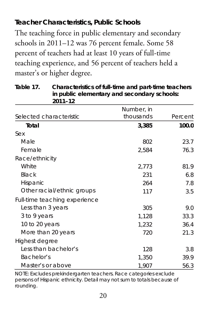### **Teacher Characteristics, Public Schools**

The teaching force in public elementary and secondary schools in 2011–12 was 76 percent female. Some 58 percent of teachers had at least 10 years of full-time teaching experience, and 56 percent of teachers held a master's or higher degree.

**Table 17. Characteristics of full-time and part-time teachers in public elementary and secondary schools: 2011–12**

|                               | Number, in |         |
|-------------------------------|------------|---------|
| Selected characteristic       | thousands  | Percent |
| Total                         | 3,385      | 100.0   |
| Sex                           |            |         |
| Male                          | 802        | 23.7    |
| Female                        | 2,584      | 76.3    |
| Race/ethnicity                |            |         |
| White                         | 2,773      | 81.9    |
| Black                         | 231        | 6.8     |
| Hispanic                      | 264        | 7.8     |
| Other racial/ethnic groups    | 117        | 3.5     |
| Full-time teaching experience |            |         |
| Less than 3 years             | 305        | 9.0     |
| 3 to 9 years                  | 1,128      | 33.3    |
| 10 to 20 years                | 1,232      | 36.4    |
| More than 20 years            | 720        | 21.3    |
| Highest degree                |            |         |
| Less than bachelor's          | 128        | 3.8     |
| Bachelor's                    | 1,350      | 39.9    |
| Master's or above             | 1,907      | 56.3    |

NOTE: Excludes prekindergarten teachers. Race categories exclude persons of Hispanic ethnicity. Detail may not sum to totals because of rounding.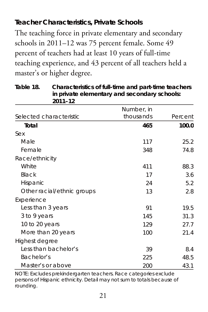### **Teacher Characteristics, Private Schools**

The teaching force in private elementary and secondary schools in 2011–12 was 75 percent female. Some 49 percent of teachers had at least 10 years of full-time teaching experience, and 43 percent of all teachers held a master's or higher degree.

**Table 18. Characteristics of full-time and part-time teachers in private elementary and secondary schools: 2011–12**

|                            | Number, in |         |
|----------------------------|------------|---------|
| Selected characteristic    | thousands  | Percent |
| Total                      | 465        | 100.0   |
| Sex                        |            |         |
| Male                       | 117        | 25.2    |
| Female                     | 348        | 74.8    |
| Race/ethnicity             |            |         |
| White                      | 411        | 88.3    |
| Black                      | 17         | 3.6     |
| Hispanic                   | 24         | 5.2     |
| Other racial/ethnic groups | 13         | 2.8     |
| Experience                 |            |         |
| Less than 3 years          | 91         | 19.5    |
| 3 to 9 years               | 145        | 31.3    |
| 10 to 20 years             | 129        | 27.7    |
| More than 20 years         | 100        | 21.4    |
| Highest degree             |            |         |
| Less than bachelor's       | 39         | 8.4     |
| Bachelor's                 | 225        | 48.5    |
| Master's or above          | 200        | 43.1    |

NOTE: Excludes prekindergarten teachers. Race categories exclude persons of Hispanic ethnicity. Detail may not sum to totals because of rounding.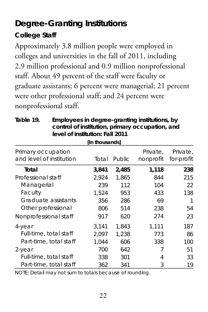## **Degree-Granting Institutions**

### **College Staff**

Approximately 3.8 million people were employed in colleges and universities in the fall of 2011, including 2.9 million professional and 0.9 million nonprofessional staff. About 49 percent of the staff were faculty or graduate assistants; 6 percent were managerial; 21 percent were other professional staff; and 24 percent were nonprofessional staff.

| sona or or moditation, primary occupation, and<br>level of institution: Fall 2011 |                |        |                       |                        |  |  |
|-----------------------------------------------------------------------------------|----------------|--------|-----------------------|------------------------|--|--|
|                                                                                   | [In thousands] |        |                       |                        |  |  |
| Primary occupation<br>and level of institution                                    | Total          | Public | Private.<br>nonprofit | Private.<br>for-profit |  |  |
| Total                                                                             | 3,841          | 2,485  | 1,118                 | 238                    |  |  |
| Professional staff                                                                | 2.924          | 1.865  | 844                   | 215                    |  |  |
| Managerial                                                                        | 239            | 112    | 104                   | 22                     |  |  |
| Faculty                                                                           | 1.524          | 953    | 433                   | 138                    |  |  |
| Graduate assistants                                                               | 356            | 286    | 69                    | 1                      |  |  |
| Other professional                                                                | 806            | 514    | 238                   | 54                     |  |  |
| Nonprofessional staff                                                             | 917            | 620    | 274                   | 23                     |  |  |
| 4-year                                                                            | 3.141          | 1.843  | 1.111                 | 187                    |  |  |
| Full-time, total staff                                                            | 2.097          | 1.238  | 773                   | 86                     |  |  |
| Part-time, total staff                                                            | 1.044          | 606    | 338                   | 100                    |  |  |
| 2-year                                                                            | 700            | 642    | 7                     | 51                     |  |  |
| Full-time, total staff                                                            | 338            | 301    | 4                     | 33                     |  |  |
| Part-time, total staff                                                            | 362            | 341    | 3                     | 19                     |  |  |

**Table 19. Employees in degree-granting institutions, by control of institution, primary occupation, and** 

NOTE: Detail may not sum to totals because of rounding.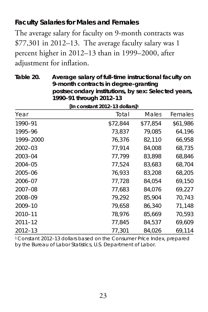### **Faculty Salaries for Males and Females**

The average salary for faculty on 9-month contracts was \$77,301 in 2012–13. The average faculty salary was 1 percent higher in 2012–13 than in 1999–2000, after adjustment for inflation.

**9-month contracts in degree-granting postsecondary institutions, by sex: Selected years, 1990–91 through 2012–13 [In constant 2012–13 dollars]1** Year Total Males Females 1990–91 \$72,844 \$77,854 \$61,986 1995–96 73,837 79,085 64,196 1999–2000 76,376 82,110 66,958 2002–03 77,914 84,008 68,735 2003–04 77,799 83,898 68,846 2004–05 77,524 83,683 68,704 2005–06 76,933 83,208 68,205 2006–07 77,728 84,054 69,150 2007–08 77,683 84,076 69,227 2008–09 79,292 85,904 70,743 2009–10 79,658 86,340 71,148 2010–11 78,976 85,669 70,593

**Table 20. Average salary of full-time instructional faculty on** 

2012–13 77,301 84,026 69,114 1 Constant 2012–13 dollars based on the Consumer Price Index, prepared by the Bureau of Labor Statistics, U.S. Department of Labor.

2011–12 77,845 84,537 69,609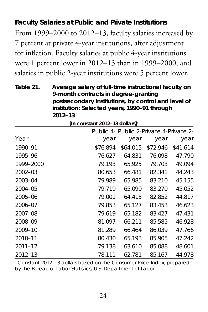#### **Faculty Salaries at Public and Private Institutions**

From 1999–2000 to 2012–13, faculty salaries increased by 7 percent at private 4-year institutions, after adjustment for inflation. Faculty salaries at public 4-year institutions were 1 percent lower in 2012–13 than in 1999–2000, and salaries in public 2-year institutions were 5 percent lower.

**Table 21. Average salary of full-time instructional faculty on 9-month contracts in degree-granting postsecondary institutions, by control and level of institution: Selected years, 1990–91 through 2012–13**

|             |          | Public 4- Public 2-Private 4-Private 2- |          |          |  |  |
|-------------|----------|-----------------------------------------|----------|----------|--|--|
| Year        | year     | year                                    | year     | year     |  |  |
| 1990-91     | \$76.894 | \$64.015                                | \$72.946 | \$41.614 |  |  |
| 1995-96     | 76,627   | 64,831                                  | 76,098   | 47,790   |  |  |
| 1999-2000   | 79,193   | 65,925                                  | 79.703   | 49,094   |  |  |
| $2002 - 03$ | 80.653   | 66.481                                  | 82.341   | 44,243   |  |  |
| 2003-04     | 79,989   | 65,985                                  | 83,210   | 45,155   |  |  |
| 2004-05     | 79.719   | 65,090                                  | 83,270   | 45,052   |  |  |
| 2005-06     | 79,001   | 64,415                                  | 82.852   | 44,817   |  |  |
| 2006-07     | 79,853   | 65,127                                  | 83,453   | 46,623   |  |  |
| 2007-08     | 79,619   | 65,182                                  | 83,427   | 47,431   |  |  |
| 2008-09     | 81,097   | 66.211                                  | 85.585   | 46,928   |  |  |
| 2009-10     | 81,289   | 66,464                                  | 86,039   | 47,766   |  |  |
| 2010-11     | 80,430   | 65,193                                  | 85,905   | 47,242   |  |  |
| $2011 - 12$ | 79,138   | 63,610                                  | 85,088   | 48,601   |  |  |
| 2012-13     | 78,111   | 62,781                                  | 85,167   | 44,978   |  |  |

**[In constant 2012–13 dollars]1**

1 Constant 2012–13 dollars based on the Consumer Price Index, prepared by the Bureau of Labor Statistics, U.S. Department of Labor.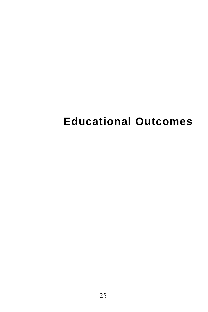# **Educational Outcomes**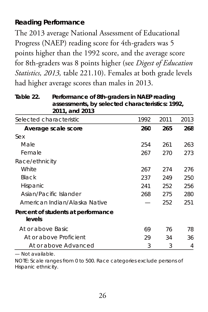### **Reading Performance**

The 2013 average National Assessment of Educational Progress (NAEP) reading score for 4th-graders was 5 points higher than the 1992 score, and the average score for 8th-graders was 8 points higher (see *Digest of Education Statistics, 2013,* table 221.10). Females at both grade levels had higher average scores than males in 2013.

**Table 22. Performance of 8th-graders in NAEP reading assessments, by selected characteristics: 1992, 2011, and 2013**

| Selected characteristic                      | 1992 | 2011 | 2013 |
|----------------------------------------------|------|------|------|
| Average scale score                          | 260  | 265  | 268  |
| Sex                                          |      |      |      |
| Male                                         | 254  | 261  | 263  |
| Female                                       | 267  | 270  | 273  |
| Race/ethnicity                               |      |      |      |
| White                                        | 267  | 274  | 276  |
| Black                                        | 237  | 249  | 250  |
| Hispanic                                     | 241  | 252  | 256  |
| Asian/Pacific Islander                       | 268  | 275  | 280  |
| American Indian/Alaska Native                |      | 252  | 251  |
| Percent of students at performance<br>levels |      |      |      |
| At or above Basic                            | 69   | 76   | 78   |
| At or above Proficient                       | 29   | 34   | 36   |
| At or above Advanced                         | 3    | 3    | 4    |

— Not available.

NOTE: Scale ranges from 0 to 500. Race categories exclude persons of Hispanic ethnicity.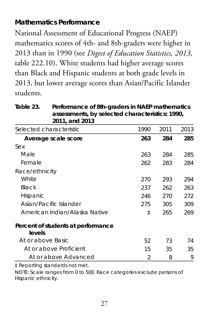#### **Mathematics Performance**

National Assessment of Educational Progress (NAEP) mathematics scores of 4th- and 8th-graders were higher in 2013 than in 1990 (see *Digest of Education Statistics, 2013,* table 222.10). White students had higher average scores than Black and Hispanic students at both grade levels in 2013, but lower average scores than Asian/Pacific Islander students.

| Table 23. | Performance of 8th-graders in NAEP mathematics  |
|-----------|-------------------------------------------------|
|           | assessments, by selected characteristics: 1990, |
|           | 2011, and 2013                                  |
|           |                                                 |

| Selected characteristic                      | 1990 | 2011 | 2013 |
|----------------------------------------------|------|------|------|
| Average scale score                          | 263  | 284  | 285  |
| Sex                                          |      |      |      |
| Male                                         | 263  | 284  | 285  |
| Female                                       | 262  | 283  | 284  |
| Race/ethnicity                               |      |      |      |
| White                                        | 270  | 293  | 294  |
| Black                                        | 237  | 262  | 263  |
| Hispanic                                     | 246  | 270  | 272  |
| Asian/Pacific Islander                       | 275  | 305  | 309  |
| American Indian/Alaska Native                | ŧ    | 265  | 269  |
| Percent of students at performance<br>levels |      |      |      |
| At or above Basic                            | 52   | 73   | 74   |
| At or above Proficient                       | 15   | 35   | 35   |
| At or above Advanced                         | 2    | 8    | 9    |

‡ Reporting standards not met.

NOTE: Scale ranges from 0 to 500. Race categories exclude persons of Hispanic ethnicity.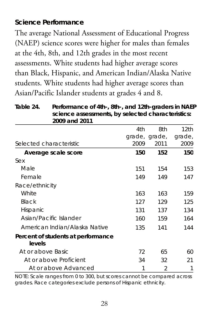#### **Science Performance**

The average National Assessment of Educational Progress (NAEP) science scores were higher for males than females at the 4th, 8th, and 12th grades in the most recent assessments. White students had higher average scores than Black, Hispanic, and American Indian/Alaska Native students. White students had higher average scores than Asian/Pacific Islander students at grades 4 and 8.

**Table 24. Performance of 4th-, 8th-, and 12th-graders in NAEP science assessments, by selected characteristics: 2009 and 2011**

|                                              | 4th  | 8th           | 12th   |
|----------------------------------------------|------|---------------|--------|
|                                              |      | grade, grade, | grade, |
| Selected characteristic                      | 2009 | 2011          | 2009   |
| Average scale score                          | 150  | 152           | 150    |
| Sex                                          |      |               |        |
| Male                                         | 151  | 154           | 153    |
| Female                                       | 149  | 149           | 147    |
| Race/ethnicity                               |      |               |        |
| White                                        | 163  | 163           | 159    |
| Black                                        | 127  | 129           | 125    |
| Hispanic                                     | 131  | 137           | 134    |
| Asian/Pacific Islander                       | 160  | 159           | 164    |
| American Indian/Alaska Native                | 135  | 141           | 144    |
| Percent of students at performance<br>levels |      |               |        |
| At or above Basic                            | 72   | 65            | 60     |
| At or above Proficient                       | 34   | 32            | 21     |
| At or above Advanced                         | 1    | 2             | 1      |

NOTE: Scale ranges from 0 to 300, but scores cannot be compared across grades. Race categories exclude persons of Hispanic ethnicity.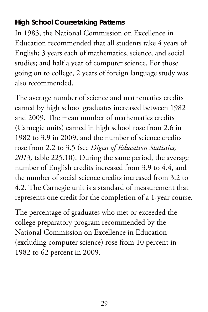### **High School Coursetaking Patterns**

In 1983, the National Commission on Excellence in Education recommended that all students take 4 years of English; 3 years each of mathematics, science, and social studies; and half a year of computer science. For those going on to college, 2 years of foreign language study was also recommended.

The average number of science and mathematics credits earned by high school graduates increased between 1982 and 2009. The mean number of mathematics credits (Carnegie units) earned in high school rose from 2.6 in 1982 to 3.9 in 2009, and the number of science credits rose from 2.2 to 3.5 (see *Digest of Education Statistics, 2013,* table 225.10). During the same period, the average number of English credits increased from 3.9 to 4.4, and the number of social science credits increased from 3.2 to 4.2. The Carnegie unit is a standard of measurement that represents one credit for the completion of a 1-year course.

The percentage of graduates who met or exceeded the college preparatory program recommended by the National Commission on Excellence in Education (excluding computer science) rose from 10 percent in 1982 to 62 percent in 2009.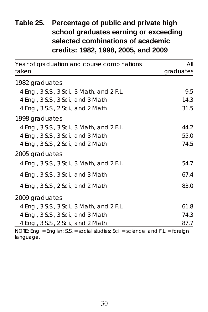### **Table 25. Percentage of public and private high school graduates earning or exceeding selected combinations of academic credits: 1982, 1998, 2005, and 2009**

| Year of graduation and course combinations | All       |
|--------------------------------------------|-----------|
| taken                                      | graduates |
| 1982 graduates                             |           |
| 4 Eng., 3 S.S., 3 Sci., 3 Math, and 2 F.L. | 9.5       |
| 4 Eng., 3 S.S., 3 Sci., and 3 Math         | 14.3      |
| 4 Eng., 3 S.S., 2 Sci., and 2 Math         | 31.5      |
| 1998 graduates                             |           |
| 4 Eng., 3 S.S., 3 Sci., 3 Math, and 2 F.L. | 44.2      |
| 4 Eng., 3 S.S., 3 Sci., and 3 Math         | 55.0      |
| 4 Eng., 3 S.S., 2 Sci., and 2 Math         | 74.5      |
| 2005 graduates                             |           |
| 4 Eng., 3 S.S., 3 Sci., 3 Math, and 2 F.L. | 54.7      |
| 4 Eng., 3 S.S., 3 Sci., and 3 Math         | 67.4      |
| 4 Eng., 3 S.S., 2 Sci., and 2 Math         | 83.0      |
| 2009 graduates                             |           |
| 4 Eng., 3 S.S., 3 Sci., 3 Math, and 2 F.L. | 61.8      |
| 4 Eng., 3 S.S., 3 Sci., and 3 Math         | 74.3      |
| 4 Eng., 3 S.S., 2 Sci., and 2 Math         | 87.7      |

NOTE: Eng. = English; S.S. = social studies; Sci. = science; and F.L. = foreign language.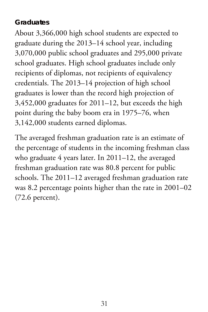#### **Graduates**

About 3,366,000 high school students are expected to graduate during the 2013–14 school year, including 3,070,000 public school graduates and 295,000 private school graduates. High school graduates include only recipients of diplomas, not recipients of equivalency credentials. The 2013–14 projection of high school graduates is lower than the record high projection of 3,452,000 graduates for 2011–12, but exceeds the high point during the baby boom era in 1975–76, when 3,142,000 students earned diplomas.

The averaged freshman graduation rate is an estimate of the percentage of students in the incoming freshman class who graduate 4 years later. In 2011–12, the averaged freshman graduation rate was 80.8 percent for public schools. The 2011–12 averaged freshman graduation rate was 8.2 percentage points higher than the rate in 2001–02 (72.6 percent).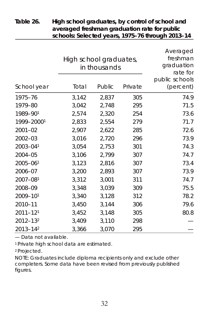|              | High school graduates,<br>in thousands |        |         | Averaged<br>freshman<br>graduation<br>rate for |  |
|--------------|----------------------------------------|--------|---------|------------------------------------------------|--|
| School year  | Total                                  | Public | Private | public schools<br>(percent)                    |  |
| 1975-76      | 3,142                                  | 2,837  | 305     | 74.9                                           |  |
| 1979-80      | 3,042                                  | 2,748  | 295     | 71.5                                           |  |
| 1989-901     | 2,574                                  | 2,320  | 254     | 73.6                                           |  |
| 1999-20001   | 2,833                                  | 2,554  | 279     | 71.7                                           |  |
| 2001-02      | 2,907                                  | 2,622  | 285     | 72.6                                           |  |
| 2002-03      | 3,016                                  | 2,720  | 296     | 73.9                                           |  |
| 2003-041     | 3,054                                  | 2,753  | 301     | 74.3                                           |  |
| 2004-05      | 3,106                                  | 2,799  | 307     | 74.7                                           |  |
| $2005 - 061$ | 3,123                                  | 2,816  | 307     | 73.4                                           |  |
| 2006-07      | 3,200                                  | 2,893  | 307     | 73.9                                           |  |
| 2007-081     | 3,312                                  | 3,001  | 311     | 74.7                                           |  |
| 2008-09      | 3,348                                  | 3,039  | 309     | 75.5                                           |  |
| 2009-101     | 3,340                                  | 3,128  | 312     | 78.2                                           |  |
| 2010-11      | 3,450                                  | 3,144  | 306     | 79.6                                           |  |
| $2011 - 121$ | 3,452                                  | 3,148  | 305     | 80.8                                           |  |
| 2012-132     | 3,409                                  | 3,110  | 298     |                                                |  |
| 2013-142     | 3,366                                  | 3,070  | 295     |                                                |  |

#### **Table 26. High school graduates, by control of school and averaged freshman graduation rate for public schools: Selected years, 1975–76 through 2013–14**

— Data not available.

1 Private high school data are estimated.

2 Projected.

NOTE: Graduates include diploma recipients only and exclude other completers. Some data have been revised from previously published figures.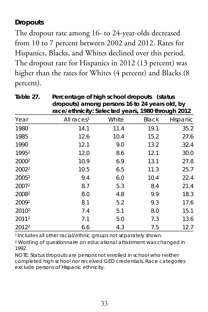### **Dropouts**

The dropout rate among 16- to 24-year-olds decreased from 10 to 7 percent between 2002 and 2012. Rates for Hispanics, Blacks, and Whites declined over this period. The dropout rate for Hispanics in 2012 (13 percent) was higher than the rates for Whites (4 percent) and Blacks (8 percent).

|                   | race/ethnicity: Selected years, 1980 through 2012 |       |       |          |
|-------------------|---------------------------------------------------|-------|-------|----------|
| Year              | All races <sup>1</sup>                            | White | Black | Hispanic |
| 1980              | 14.1                                              | 11.4  | 19.1  | 35.2     |
| 1985              | 12.6                                              | 10.4  | 15.2  | 27.6     |
| 1990              | 12.1                                              | 9.0   | 13.2  | 32.4     |
| 19952             | 12.0                                              | 8.6   | 12.1  | 30.0     |
| 2000 <sup>2</sup> | 10.9                                              | 6.9   | 13.1  | 27.8     |
| 2002 <sup>2</sup> | 10.5                                              | 6.5   | 11.3  | 25.7     |
| 2005 <sup>2</sup> | 9.4                                               | 6.0   | 10.4  | 22.4     |
| 2007 <sup>2</sup> | 8.7                                               | 5.3   | 8.4   | 21.4     |
| 20082             | 8.0                                               | 4.8   | 9.9   | 18.3     |
| 20092             | 8.1                                               | 5.2   | 9.3   | 17.6     |
| 2010 <sup>2</sup> | 7.4                                               | 5.1   | 8.0   | 15.1     |
| 20112             | 7.1                                               | 5.0   | 7.3   | 13.6     |
| 2012 <sup>2</sup> | 6.6                                               | 4.3   | 7.5   | 12.7     |

**Table 27. Percentage of high school dropouts (status dropouts) among persons 16 to 24 years old, by** 

1 Includes all other racial/ethnic groups not separately shown.

<sup>2</sup> Wording of questionnaire on educational attainment was changed in 1992.

NOTE: Status dropouts are persons not enrolled in school who neither completed high school nor received GED credentials. Race categories exclude persons of Hispanic ethnicity.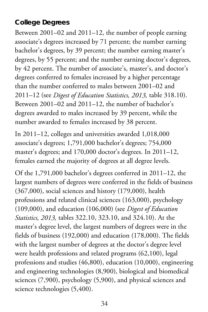#### **College Degrees**

Between 2001–02 and 2011–12, the number of people earning associate's degrees increased by 71 percent; the number earning bachelor's degrees, by 39 percent; the number earning master's degrees, by 55 percent; and the number earning doctor's degrees, by 42 percent. The number of associate's, master's, and doctor's degrees conferred to females increased by a higher percentage than the number conferred to males between 2001–02 and 2011–12 (see *Digest of Education Statistics, 2013,* table 318.10). Between 2001–02 and 2011–12, the number of bachelor's degrees awarded to males increased by 39 percent, while the number awarded to females increased by 38 percent.

In 2011–12, colleges and universities awarded 1,018,000 associate's degrees; 1,791,000 bachelor's degrees; 754,000 master's degrees; and 170,000 doctor's degrees. In 2011–12, females earned the majority of degrees at all degree levels.

Of the 1,791,000 bachelor's degrees conferred in 2011–12, the largest numbers of degrees were conferred in the fields of business (367,000), social sciences and history (179,000), health professions and related clinical sciences (163,000), psychology (109,000), and education (106,000) (see *Digest of Education Statistics, 2013,* tables 322.10, 323.10, and 324.10). At the master's degree level, the largest numbers of degrees were in the fields of business (192,000) and education (178,000). The fields with the largest number of degrees at the doctor's degree level were health professions and related programs (62,100), legal professions and studies (46,800), education (10,000), engineering and engineering technologies (8,900), biological and biomedical sciences (7,900), psychology (5,900), and physical sciences and science technologies (5,400).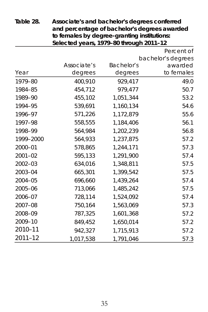| Selected years, 1979-80 through 2011-12 |             |            |                    |
|-----------------------------------------|-------------|------------|--------------------|
|                                         |             |            | Percent of         |
|                                         |             |            | bachelor's degrees |
|                                         | Associate's | Bachelor's | awarded            |
| Year                                    | degrees     | degrees    | to females         |
| 1979-80                                 | 400,910     | 929,417    | 49.0               |
| 1984-85                                 | 454,712     | 979,477    | 50.7               |
| 1989-90                                 | 455,102     | 1,051,344  | 53.2               |
| 1994-95                                 | 539,691     | 1,160,134  | 54.6               |
| 1996-97                                 | 571,226     | 1,172,879  | 55.6               |
| 1997-98                                 | 558,555     | 1.184.406  | 56.1               |
| 1998-99                                 | 564,984     | 1,202,239  | 56.8               |
| 1999-2000                               | 564,933     | 1,237,875  | 57.2               |
| 2000-01                                 | 578.865     | 1.244.171  | 57.3               |
| $2001 - 02$                             | 595,133     | 1,291,900  | 57.4               |
| $2002 - 03$                             | 634,016     | 1,348,811  | 57.5               |
| 2003-04                                 | 665,301     | 1,399,542  | 57.5               |
| 2004-05                                 | 696,660     | 1,439,264  | 57.4               |
| 2005-06                                 | 713,066     | 1,485,242  | 57.5               |
| 2006-07                                 | 728,114     | 1.524.092  | 57.4               |
| 2007-08                                 | 750,164     | 1,563,069  | 57.3               |
| 2008-09                                 | 787,325     | 1,601,368  | 57.2               |
| 2009-10                                 | 849,452     | 1,650,014  | 57.2               |
| 2010-11                                 | 942,327     | 1,715,913  | 57.2               |
| 2011-12                                 | 1,017,538   | 1,791,046  | 57.3               |

**Table 28. Associate's and bachelor's degrees conferred and percentage of bachelor's degrees awarded to females by degree-granting institutions:**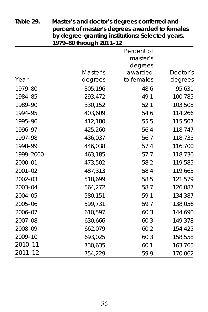| $\mathcal{L}$ acgree grammig momanons. Selected fears,<br>1979-80 through 2011-12 |          |                        |          |
|-----------------------------------------------------------------------------------|----------|------------------------|----------|
|                                                                                   |          | Percent of<br>master's |          |
|                                                                                   |          | degrees                |          |
|                                                                                   | Master's | awarded                | Doctor's |
| Year                                                                              | degrees  | to females             | degrees  |
| 1979-80                                                                           | 305,196  | 48.6                   | 95,631   |
| 1984-85                                                                           | 293,472  | 49.1                   | 100,785  |
| 1989-90                                                                           | 330,152  | 52.1                   | 103,508  |
| 1994-95                                                                           | 403,609  | 54.6                   | 114,266  |
| 1995-96                                                                           | 412,180  | 55.5                   | 115,507  |
| 1996-97                                                                           | 425,260  | 56.4                   | 118,747  |
| 1997-98                                                                           | 436,037  | 56.7                   | 118,735  |
| 1998-99                                                                           | 446,038  | 57.4                   | 116,700  |
| 1999-2000                                                                         | 463,185  | 57.7                   | 118,736  |
| 2000-01                                                                           | 473,502  | 58.2                   | 119,585  |
| $2001 - 02$                                                                       | 487,313  | 58.4                   | 119,663  |
| $2002 - 03$                                                                       | 518,699  | 58.5                   | 121,579  |
| 2003-04                                                                           | 564,272  | 58.7                   | 126,087  |
| 2004-05                                                                           | 580,151  | 59.1                   | 134,387  |
| 2005-06                                                                           | 599,731  | 59.7                   | 138,056  |
| 2006-07                                                                           | 610,597  | 60.3                   | 144,690  |
| 2007-08                                                                           | 630,666  | 60.3                   | 149,378  |
| 2008-09                                                                           | 662,079  | 60.2                   | 154,425  |
| 2009-10                                                                           | 693,025  | 60.3                   | 158,558  |
| 2010-11                                                                           | 730,635  | 60.1                   | 163,765  |
| $2011 - 12$                                                                       | 754,229  | 59.9                   | 170,062  |

**Table 29. Master's and doctor's degrees conferred and percent of master's degrees awarded to females by degree-granting institutions: Selected years,**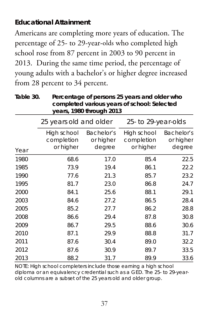### **Educational Attainment**

Americans are completing more years of education. The percentage of 25- to 29-year-olds who completed high school rose from 87 percent in 2003 to 90 percent in 2013. During the same time period, the percentage of young adults with a bachelor's or higher degree increased from 28 percent to 34 percent.

**Table 30. Percentage of persons 25 years and older who completed various years of school: Selected years, 1980 through 2013**

|      | 25 years old and older                 |                                   | 25- to 29-year-olds                    |                                   |
|------|----------------------------------------|-----------------------------------|----------------------------------------|-----------------------------------|
| Year | High school<br>completion<br>or higher | Bachelor's<br>or higher<br>degree | High school<br>completion<br>or higher | Bachelor's<br>or higher<br>degree |
| 1980 | 68.6                                   | 17.0                              | 85.4                                   | 22.5                              |
| 1985 | 73.9                                   | 19.4                              | 86.1                                   | 22.2                              |
| 1990 | 77.6                                   | 21.3                              | 85.7                                   | 23.2                              |
| 1995 | 81.7                                   | 23.0                              | 86.8                                   | 24.7                              |
| 2000 | 84.1                                   | 25.6                              | 88.1                                   | 29.1                              |
| 2003 | 84.6                                   | 27.2                              | 86.5                                   | 28.4                              |
| 2005 | 85.2                                   | 27.7                              | 86.2                                   | 28.8                              |
| 2008 | 86.6                                   | 29.4                              | 87.8                                   | 30.8                              |
| 2009 | 86.7                                   | 29.5                              | 88.6                                   | 30.6                              |
| 2010 | 87.1                                   | 29.9                              | 88.8                                   | 31.7                              |
| 2011 | 87.6                                   | 30.4                              | 89.0                                   | 32.2                              |
| 2012 | 87.6                                   | 30.9                              | 89.7                                   | 33.5                              |
| 2013 | 88.2                                   | 31.7                              | 89.9                                   | 33.6                              |

NOTE: High school completers include those earning a high school diploma or an equivalency credential such as a GED. The 25- to 29-yearold columns are a subset of the 25 years old and older group.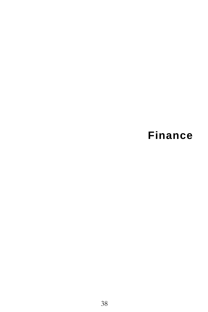# **Finance**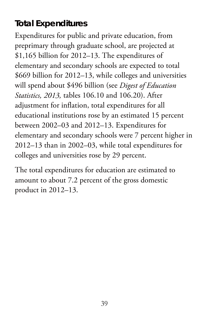## **Total Expenditures**

Expenditures for public and private education, from preprimary through graduate school, are projected at \$1,165 billion for 2012–13. The expenditures of elementary and secondary schools are expected to total \$669 billion for 2012–13, while colleges and universities will spend about \$496 billion (see *Digest of Education Statistics, 2013,* tables 106.10 and 106.20). After adjustment for inflation, total expenditures for all educational institutions rose by an estimated 15 percent between 2002–03 and 2012–13. Expenditures for elementary and secondary schools were 7 percent higher in 2012–13 than in 2002–03, while total expenditures for colleges and universities rose by 29 percent.

The total expenditures for education are estimated to amount to about 7.2 percent of the gross domestic product in 2012–13.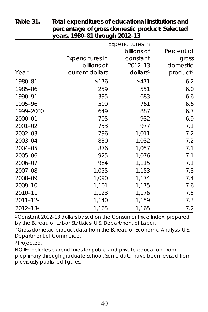|              | y <del>c</del> ais, 1700–01 uliuugii 2012–13 |                                       |                      |
|--------------|----------------------------------------------|---------------------------------------|----------------------|
|              |                                              | <b>Expenditures in</b><br>billions of | Percent of           |
|              | <b>Expenditures in</b>                       | constant                              |                      |
|              | billions of                                  | 2012-13                               | gross<br>domestic    |
| Year         | current dollars                              | dollars <sup>1</sup>                  | product <sup>2</sup> |
| 1980-81      | \$176                                        | \$471                                 | 6.2                  |
| 1985-86      | 259                                          | 551                                   | 6.0                  |
| 1990-91      | 395                                          | 683                                   | 6.6                  |
| 1995-96      | 509                                          | 761                                   | 6.6                  |
| 1999-2000    | 649                                          | 887                                   | 6.7                  |
| 2000-01      | 705                                          | 932                                   | 6.9                  |
| $2001 - 02$  | 753                                          | 977                                   | 7.1                  |
| 2002-03      | 796                                          | 1,011                                 | 7.2                  |
| 2003-04      | 830                                          | 1,032                                 | 7.2                  |
| 2004-05      | 876                                          | 1,057                                 | 7.1                  |
| 2005-06      | 925                                          | 1,076                                 | 7.1                  |
| 2006-07      | 984                                          | 1,115                                 | 7.1                  |
| 2007-08      | 1,055                                        | 1,153                                 | 7.3                  |
| 2008-09      | 1,090                                        | 1,174                                 | 7.4                  |
| 2009-10      | 1,101                                        | 1,175                                 | 7.6                  |
| 2010-11      | 1,123                                        | 1,176                                 | 7.5                  |
| 2011-123     | 1,140                                        | 1,159                                 | 7.3                  |
| $2012 - 133$ | 1,165                                        | 1,165                                 | 7.2                  |

**Table 31. Total expenditures of educational institutions and percentage of gross domestic product: Selected years, 1980–81 through 2012–13**

1 Constant 2012–13 dollars based on the Consumer Price Index, prepared by the Bureau of Labor Statistics, U.S. Department of Labor.

<sup>2</sup> Gross domestic product data from the Bureau of Economic Analysis, U.S. Department of Commerce.

<sup>3</sup> Projected.

NOTE: Includes expenditures for public and private education, from preprimary through graduate school. Some data have been revised from previously published figures.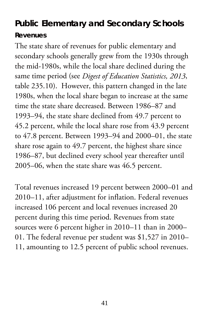## **Public Elementary and Secondary Schools Revenues**

The state share of revenues for public elementary and secondary schools generally grew from the 1930s through the mid-1980s, while the local share declined during the same time period (see *Digest of Education Statistics, 2013*, table 235.10). However, this pattern changed in the late 1980s, when the local share began to increase at the same time the state share decreased. Between 1986–87 and 1993–94, the state share declined from 49.7 percent to 45.2 percent, while the local share rose from 43.9 percent to 47.8 percent. Between 1993–94 and 2000–01, the state share rose again to 49.7 percent, the highest share since 1986–87, but declined every school year thereafter until 2005–06, when the state share was 46.5 percent.

Total revenues increased 19 percent between 2000–01 and 2010–11, after adjustment for inflation. Federal revenues increased 106 percent and local revenues increased 20 percent during this time period. Revenues from state sources were 6 percent higher in 2010–11 than in 2000– 01. The federal revenue per student was \$1,527 in 2010– 11, amounting to 12.5 percent of public school revenues.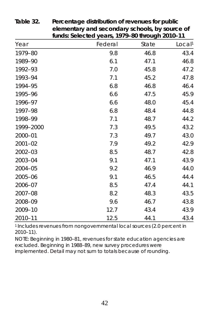|             | <u>idiida. Seleeled yedia, 1777–00 lillodgii 2010–11</u> |       |                    |
|-------------|----------------------------------------------------------|-------|--------------------|
| Year        | Federal                                                  | State | Local <sup>1</sup> |
| 1979-80     | 9.8                                                      | 46.8  | 43.4               |
| 1989-90     | 6.1                                                      | 47.1  | 46.8               |
| 1992-93     | 7.0                                                      | 45.8  | 47.2               |
| 1993-94     | 7.1                                                      | 45.2  | 47.8               |
| 1994-95     | 6.8                                                      | 46.8  | 46.4               |
| 1995-96     | 6.6                                                      | 47.5  | 45.9               |
| 1996-97     | 6.6                                                      | 48.0  | 45.4               |
| 1997-98     | 6.8                                                      | 48.4  | 44.8               |
| 1998-99     | 7.1                                                      | 48.7  | 44.2               |
| 1999-2000   | 7.3                                                      | 49.5  | 43.2               |
| 2000-01     | 7.3                                                      | 49.7  | 43.0               |
| $2001 - 02$ | 7.9                                                      | 49.2  | 42.9               |
| $2002 - 03$ | 8.5                                                      | 48.7  | 42.8               |
| 2003-04     | 9.1                                                      | 47.1  | 43.9               |
| 2004-05     | 9.2                                                      | 46.9  | 44.0               |
| 2005-06     | 9.1                                                      | 46.5  | 44.4               |
| 2006-07     | 8.5                                                      | 47.4  | 44.1               |
| 2007-08     | 8.2                                                      | 48.3  | 43.5               |
| 2008-09     | 9.6                                                      | 46.7  | 43.8               |
| 2009-10     | 12.7                                                     | 43.4  | 43.9               |
| 2010-11     | 12.5                                                     | 44.1  | 43.4               |

**Table 32. Percentage distribution of revenues for public elementary and secondary schools, by source of funds: Selected years, 1979–80 through 2010–11**

1 Includes revenues from nongovernmental local sources (2.0 percent in 2010–11).

NOTE: Beginning in 1980–81, revenues for state education agencies are excluded. Beginning in 1988–89, new survey procedures were implemented. Detail may not sum to totals because of rounding.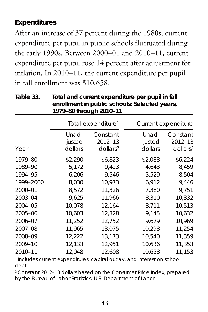#### **Expenditures**

After an increase of 37 percent during the 1980s, current expenditure per pupil in public schools fluctuated during the early 1990s. Between 2000–01 and 2010–11, current expenditure per pupil rose 14 percent after adjustment for inflation. In 2010–11, the current expenditure per pupil in fall enrollment was \$10,658.

**Table 33. Total and current expenditure per pupil in fall enrollment in public schools: Selected years, 1979–80 through 2010–11**

|           | Total expenditure <sup>1</sup> |                                                    |                            | Current expenditure                            |
|-----------|--------------------------------|----------------------------------------------------|----------------------------|------------------------------------------------|
| Year      | Unad-<br>justed<br>dollars     | Constant<br>$2012 - 13$<br>$d$ ollars <sup>2</sup> | Unad-<br>justed<br>dollars | Constant<br>2012-13<br>$d$ ollars <sup>2</sup> |
| 1979-80   | \$2,290                        | \$6,823                                            | \$2,088                    | \$6,224                                        |
| 1989-90   | 5,172                          | 9,423                                              | 4,643                      | 8,459                                          |
| 1994-95   | 6,206                          | 9,546                                              | 5,529                      | 8,504                                          |
| 1999-2000 | 8,030                          | 10,973                                             | 6,912                      | 9,446                                          |
| 2000-01   | 8,572                          | 11,326                                             | 7,380                      | 9,751                                          |
| 2003-04   | 9,625                          | 11,966                                             | 8,310                      | 10,332                                         |
| 2004-05   | 10,078                         | 12,164                                             | 8,711                      | 10,513                                         |
| 2005-06   | 10,603                         | 12,328                                             | 9,145                      | 10,632                                         |
| 2006-07   | 11,252                         | 12,752                                             | 9.679                      | 10,969                                         |
| 2007-08   | 11,965                         | 13,075                                             | 10,298                     | 11,254                                         |
| 2008-09   | 12,222                         | 13,173                                             | 10,540                     | 11,359                                         |
| 2009-10   | 12,133                         | 12,951                                             | 10,636                     | 11,353                                         |
| 2010-11   | 12,048                         | 12,608                                             | 10,658                     | 11,153                                         |

1 Includes current expenditures, capital outlay, and interest on school debt.

2 Constant 2012–13 dollars based on the Consumer Price Index, prepared by the Bureau of Labor Statistics, U.S. Department of Labor.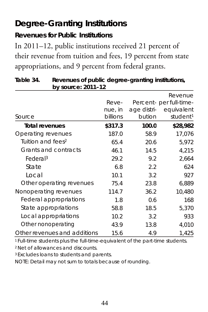## **Degree-Granting Institutions**

### **Revenues for Public Institutions**

In 2011–12, public institutions received 21 percent of their revenue from tuition and fees, 19 percent from state appropriations, and 9 percent from federal grants.

| <b>DY JUDICAL ZUIT-12</b>     |                              |                       |                                                                          |
|-------------------------------|------------------------------|-----------------------|--------------------------------------------------------------------------|
| Source                        | Reve-<br>nue, in<br>billions | age distri-<br>bution | Revenue<br>Percent- per full-time-<br>equivalent<br>student <sup>1</sup> |
| <b>Total revenues</b>         | \$317.3                      | 100.0                 | \$28,982                                                                 |
| Operating revenues            | 187.0                        | 58.9                  | 17,076                                                                   |
| Tuition and fees <sup>2</sup> | 65.4                         | 20.6                  | 5,972                                                                    |
| Grants and contracts          | 46.1                         | 14.5                  | 4,215                                                                    |
| Federal <sup>3</sup>          | 29.2                         | 9.2                   | 2,664                                                                    |
| State                         | 6.8                          | 2.2                   | 624                                                                      |
| Local                         | 10.1                         | 3.2                   | 927                                                                      |
| Other operating revenues      | 75.4                         | 23.8                  | 6,889                                                                    |
| Nonoperating revenues         | 114.7                        | 36.2                  | 10,480                                                                   |
| Federal appropriations        | 1.8                          | 0.6                   | 168                                                                      |
| State appropriations          | 58.8                         | 18.5                  | 5,370                                                                    |
| Local appropriations          | 10.2                         | 3.2                   | 933                                                                      |
| Other nonoperating            | 43.9                         | 13.8                  | 4,010                                                                    |
| Other revenues and additions  | 15.6                         | 4.9                   | 1,425                                                                    |

#### **Table 34. Revenues of public degree-granting institutions, by source: 2011–12**

<sup>1</sup> Full-time students plus the full-time-equivalent of the part-time students.

2 Net of allowances and discounts.

3 Excludes loans to students and parents.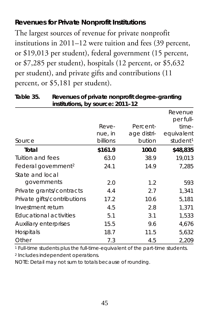#### **Revenues for Private Nonprofit Institutions**

The largest sources of revenue for private nonprofit institutions in 2011–12 were tuition and fees (39 percent, or \$19,013 per student), federal government (15 percent, or \$7,285 per student), hospitals (12 percent, or \$5,632 per student), and private gifts and contributions (11 percent, or \$5,181 per student).

| institutions, by source: 2011–12 |          |             |                      |
|----------------------------------|----------|-------------|----------------------|
|                                  |          |             | Revenue<br>per full- |
|                                  | Reve-    | Percent-    | time-                |
|                                  | nue, in  | age distri- | equivalent           |
| Source                           | billions | bution      | student <sup>1</sup> |
| Total                            | \$161.9  | 100.0       | \$48,835             |
| Tuition and fees                 | 63.0     | 38.9        | 19,013               |
| Federal government <sup>2</sup>  | 24.1     | 14.9        | 7,285                |
| State and local                  |          |             |                      |
| governments                      | 2.0      | 1.2         | 593                  |
| Private grants/contracts         | 4.4      | 2.7         | 1,341                |
| Private gifts/contributions      | 17.2     | 10.6        | 5,181                |
| Investment return                | 4.5      | 2.8         | 1.371                |
| <b>Educational activities</b>    | 5.1      | 3.1         | 1,533                |
| Auxiliary enterprises            | 15.5     | 9.6         | 4.676                |
| Hospitals                        | 18.7     | 11.5        | 5,632                |
| Other                            | 7.3      | 4.5         | 2,209                |

**Table 35. Revenues of private nonprofit degree-granting institutions, by source: 2011–12**

<sup>1</sup> Full-time students plus the full-time-equivalent of the part-time students.

<sup>2</sup> Includes independent operations.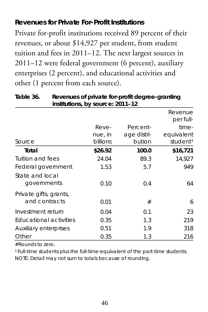#### **Revenues for Private For-Profit Institutions**

Private for-profit institutions received 89 percent of their revenues, or about \$14,927 per student, from student tuition and fees in 2011–12. The next largest sources in 2011–12 were federal government (6 percent), auxiliary enterprises (2 percent), and educational activities and other (1 percent from each source).

|                                | institutions, by source: 2011–12 |             |                      |  |
|--------------------------------|----------------------------------|-------------|----------------------|--|
|                                |                                  |             | Revenue<br>per full- |  |
|                                | Reve-                            | Percent-    | time-                |  |
|                                | nue, in                          | age distri- | equivalent           |  |
| Source                         | billions                         | bution      | student <sup>1</sup> |  |
| Total                          | \$26.92                          | 100.0       | \$16,721             |  |
| Tuition and fees               | 24.04                            | 89.3        | 14,927               |  |
| Federal government             | 1.53                             | 5.7         | 949                  |  |
| State and local<br>governments | 0.10                             | 0.4         | 64                   |  |
| Private gifts, grants,         |                                  |             |                      |  |
| and contracts                  | 0.01                             | #           | 6                    |  |
| Investment return              | 0.04                             | 0.1         | 23                   |  |
| Educational activities         | 0.35                             | 1.3         | 219                  |  |
| Auxiliary enterprises          | 0.51                             | 1.9         | 318                  |  |
| Other                          | 0.35                             | 1.3         | 216                  |  |

| Table 36. | Revenues of private for-profit degree-granting |
|-----------|------------------------------------------------|
|           | institutions, by source: 2011-12               |

#Rounds to zero.

<sup>1</sup> Full-time students plus the full-time-equivalent of the part-time students. NOTE: Detail may not sum to totals because of rounding.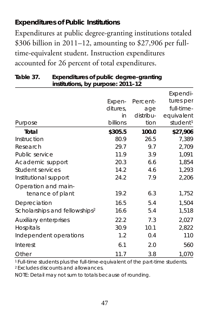### **Expenditures of Public Institutions**

Expenditures at public degree-granting institutions totaled \$306 billion in 2011–12, amounting to \$27,906 per fulltime-equivalent student. Instruction expenditures accounted for 26 percent of total expenditures.

| institutions, by purpose: 2011–12         |          |           |                      |
|-------------------------------------------|----------|-----------|----------------------|
|                                           |          |           | Expendi-             |
|                                           | Expen-   | Percent-  | tures per            |
|                                           | ditures. | age       | full-time-           |
|                                           | in       | distribu- | equivalent           |
| Purpose                                   | billions | tion      | student <sup>1</sup> |
| Total                                     | \$305.5  | 100.0     | \$27,906             |
| Instruction                               | 80.9     | 26.5      | 7,389                |
| Research                                  | 29.7     | 9.7       | 2,709                |
| Public service                            | 11.9     | 3.9       | 1,091                |
| Academic support                          | 20.3     | 6.6       | 1,854                |
| Student services                          | 14.2     | 4.6       | 1,293                |
| Institutional support                     | 24.2     | 7.9       | 2,206                |
| Operation and main-                       |          |           |                      |
| tenance of plant                          | 19.2     | 6.3       | 1,752                |
| Depreciation                              | 16.5     | 5.4       | 1,504                |
| Scholarships and fellowships <sup>2</sup> | 16.6     | 5.4       | 1,518                |
| Auxiliary enterprises                     | 22.2     | 7.3       | 2,027                |
| Hospitals                                 | 30.9     | 10.1      | 2,822                |
| Independent operations                    | 1.2      | 0.4       | 110                  |
| Interest                                  | 6.1      | 2.0       | 560                  |
| Other                                     | 11.7     | 3.8       | 1,070                |

#### **Table 37. Expenditures of public degree-granting institutions, by purpose: 2011–12**

1 Full-time students plus the full-time-equivalent of the part-time students. 2 Excludes discounts and allowances.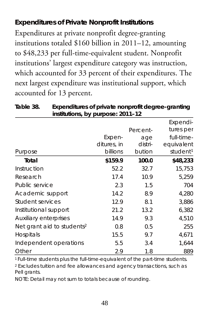### **Expenditures of Private Nonprofit Institutions**

Expenditures at private nonprofit degree-granting institutions totaled \$160 billion in 2011–12, amounting to \$48,233 per full-time-equivalent student. Nonprofit institutions' largest expenditure category was instruction, which accounted for 33 percent of their expenditures. The next largest expenditure was institutional support, which accounted for 13 percent.

| institutions, by purpose: 2011–12      |             |          |                      |
|----------------------------------------|-------------|----------|----------------------|
|                                        |             |          | Expendi-             |
|                                        |             | Percent- | tures per            |
|                                        | Expen-      | age      | full-time-           |
|                                        | ditures, in | distri-  | equivalent           |
| Purpose                                | billions    | bution   | student <sup>1</sup> |
| Total                                  | \$159.9     | 100.0    | \$48,233             |
| Instruction                            | 52.2        | 32.7     | 15,753               |
| Research                               | 17.4        | 10.9     | 5,259                |
| Public service                         | 2.3         | 1.5      | 704                  |
| Academic support                       | 14.2        | 8.9      | 4,280                |
| Student services                       | 12.9        | 8.1      | 3,886                |
| Institutional support                  | 21.2        | 13.2     | 6,382                |
| Auxiliary enterprises                  | 14.9        | 9.3      | 4,510                |
| Net grant aid to students <sup>2</sup> | 0.8         | 0.5      | 255                  |
| Hospitals                              | 15.5        | 9.7      | 4,671                |
| Independent operations                 | 5.5         | 3.4      | 1,644                |
| Other                                  | 2.9         | 1.8      | 889                  |

**Table 38. Expenditures of private nonprofit degree-granting institutions, by purpose: 2011–12**

1 Full-time students plus the full-time-equivalent of the part-time students.

<sup>2</sup> Excludes tuition and fee allowances and agency transactions, such as Pell grants.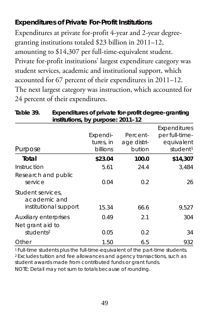#### **Expenditures of Private For-Profit Institutions**

Expenditures at private for-profit 4-year and 2-year degreegranting institutions totaled \$23 billion in 2011–12, amounting to \$14,307 per full-time-equivalent student. Private for-profit institutions' largest expenditure category was student services, academic and institutional support, which accounted for 67 percent of their expenditures in 2011–12. The next largest category was instruction, which accounted for 24 percent of their expenditures.

| Purpose                                   | m<br>Expendi-<br>tures, in<br>billions | Percent-<br>age distri-<br>bution | <b>Expenditures</b><br>per full-time-<br>equivalent<br>student <sup>1</sup> |
|-------------------------------------------|----------------------------------------|-----------------------------------|-----------------------------------------------------------------------------|
|                                           |                                        |                                   |                                                                             |
| Total                                     | \$23.04                                | 100.0                             | \$14,307                                                                    |
| Instruction                               | 5.61                                   | 24.4                              | 3.484                                                                       |
| Research and public<br>service            | 0.04                                   | 0.2                               | 26                                                                          |
| Student services.<br>academic and         |                                        |                                   |                                                                             |
| institutional support                     | 15.34                                  | 66.6                              | 9.527                                                                       |
| Auxiliary enterprises<br>Net grant aid to | 0.49                                   | 2.1                               | 304                                                                         |
| students <sup>2</sup>                     | 0.05                                   | 0.2                               | 34                                                                          |
| Other                                     | 1.50                                   | 6.5                               | 932                                                                         |

| Table 39. | Expenditures of private for-profit degree-granting |
|-----------|----------------------------------------------------|
|           | institutions, by purpose: 2011-12                  |

1 Full-time students plus the full-time-equivalent of the part-time students. 2 Excludes tuition and fee allowances and agency transactions, such as student awards made from contributed funds or grant funds.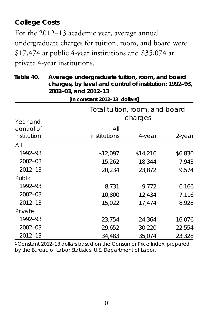#### **College Costs**

For the 2012–13 academic year, average annual undergraduate charges for tuition, room, and board were \$17,474 at public 4-year institutions and \$35,074 at private 4-year institutions.

 **Table 40. Average undergraduate tuition, room, and board charges, by level and control of institution: 1992–93, 2002–03, and 2012–13 [In constant 2012–131 dollars]**

| Year and                  |                     | Total tuition, room, and board<br>charges |         |  |
|---------------------------|---------------------|-------------------------------------------|---------|--|
| control of<br>institution | All<br>institutions | 4-year                                    | 2-year  |  |
| All                       |                     |                                           |         |  |
| 1992-93                   | \$12,097            | \$14,216                                  | \$6,830 |  |
| $2002 - 03$               | 15,262              | 18,344                                    | 7,943   |  |
| $2012 - 13$               | 20.234              | 23.872                                    | 9.574   |  |
| Public                    |                     |                                           |         |  |
| 1992-93                   | 8,731               | 9,772                                     | 6,166   |  |
| $2002 - 03$               | 10,800              | 12,434                                    | 7,116   |  |
| $2012 - 13$               | 15.022              | 17.474                                    | 8,928   |  |
| Private                   |                     |                                           |         |  |
| 1992-93                   | 23,754              | 24,364                                    | 16,076  |  |
| $2002 - 03$               | 29.652              | 30,220                                    | 22,554  |  |
| $2012 - 13$               | 34.483              | 35.074                                    | 23.328  |  |

1 Constant 2012–13 dollars based on the Consumer Price Index, prepared by the Bureau of Labor Statistics, U.S. Department of Labor.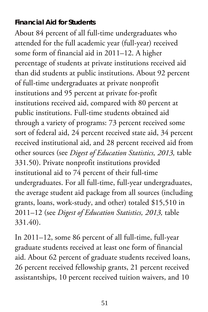#### **Financial Aid for Students**

About 84 percent of all full-time undergraduates who attended for the full academic year (full-year) received some form of financial aid in 2011–12. A higher percentage of students at private institutions received aid than did students at public institutions. About 92 percent of full-time undergraduates at private nonprofit institutions and 95 percent at private for-profit institutions received aid, compared with 80 percent at public institutions. Full-time students obtained aid through a variety of programs: 73 percent received some sort of federal aid, 24 percent received state aid, 34 percent received institutional aid, and 28 percent received aid from other sources (see *Digest of Education Statistics, 2013,* table 331.50). Private nonprofit institutions provided institutional aid to 74 percent of their full-time undergraduates. For all full-time, full-year undergraduates, the average student aid package from all sources (including grants, loans, work-study, and other) totaled \$15,510 in 2011–12 (see *Digest of Education Statistics, 2013,* table 331.40).

In 2011–12, some 86 percent of all full-time, full-year graduate students received at least one form of financial aid. About 62 percent of graduate students received loans, 26 percent received fellowship grants, 21 percent received assistantships, 10 percent received tuition waivers, and 10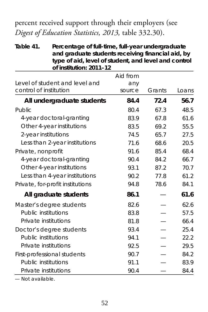percent received support through their employers (see *Digest of Education Statistics, 2013,* table 332.30).

**Table 41. Percentage of full-time, full-year undergraduate and graduate students receiving financial aid, by type of aid, level of student, and level and control of institution: 2011–12**

|                                  | Aid from |        |       |
|----------------------------------|----------|--------|-------|
| Level of student and level and   | any      |        |       |
| control of institution           | source   | Grants | Loans |
| All undergraduate students       | 84.4     | 72.4   | 56.7  |
| Public                           | 80.4     | 67.3   | 48.5  |
| 4-year doctoral-granting         | 83.9     | 67.8   | 61.6  |
| Other 4-year institutions        | 83.5     | 69.2   | 55.5  |
| 2-year institutions              | 74.5     | 65.7   | 27.5  |
| Less than 2-year institutions    | 71.6     | 68.6   | 20.5  |
| Private, nonprofit               | 91.6     | 85.4   | 68.4  |
| 4-year doctoral-granting         | 90.4     | 84.2   | 66.7  |
| Other 4-year institutions        | 93.1     | 87.2   | 70.7  |
| Less than 4-year institutions    | 90.2     | 77.8   | 61.2  |
| Private, for-profit institutions | 94.8     | 78.6   | 84.1  |
| All graduate students            | 86.1     |        | 61.6  |
| Master's degree students         | 82.6     |        | 62.6  |
| Public institutions              | 83.8     |        | 57.5  |
| Private institutions             | 81.8     |        | 66.4  |
| Doctor's degree students         | 93.4     |        | 25.4  |
| Public institutions              | 94.1     |        | 22.2  |
| Private institutions             | 92.5     |        | 29.5  |
| First-professional students      | 90.7     |        | 84.2  |
| Public institutions              | 91.1     |        | 83.9  |
| Private institutions             | 90.4     |        | 84.4  |

— Not available.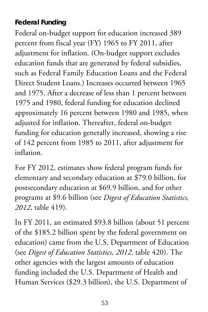#### **Federal Funding**

Federal on-budget support for education increased 389 percent from fiscal year (FY) 1965 to FY 2011, after adjustment for inflation. (On-budget support excludes education funds that are generated by federal subsidies, such as Federal Family Education Loans and the Federal Direct Student Loans.) Increases occurred between 1965 and 1975. After a decrease of less than 1 percent between 1975 and 1980, federal funding for education declined approximately 16 percent between 1980 and 1985, when adjusted for inflation. Thereafter, federal on-budget funding for education generally increased, showing a rise of 142 percent from 1985 to 2011, after adjustment for inflation.

For FY 2012, estimates show federal program funds for elementary and secondary education at \$79.0 billion, for postsecondary education at \$69.9 billion, and for other programs at \$9.6 billion (see *Digest of Education Statistics, 2012*, table 419).

In FY 2011, an estimated \$93.8 billion (about 51 percent of the \$185.2 billion spent by the federal government on education) came from the U.S. Department of Education (see *Digest of Education Statistics, 2012*, table 420). The other agencies with the largest amounts of education funding included the U.S. Department of Health and Human Services (\$29.3 billion), the U.S. Department of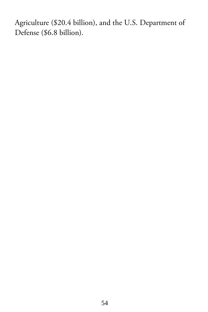Agriculture (\$20.4 billion), and the U.S. Department of Defense (\$6.8 billion).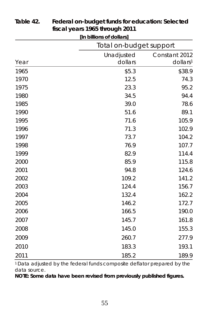|      | [In billions of dollars] |                         |
|------|--------------------------|-------------------------|
|      | Total on-budget support  |                         |
|      | Unadjusted               | Constant 2012           |
| Year | dollars                  | $d$ ollars <sup>1</sup> |
| 1965 | \$5.3                    | \$38.9                  |
| 1970 | 12.5                     | 74.3                    |
| 1975 | 23.3                     | 95.2                    |
| 1980 | 34.5                     | 94.4                    |
| 1985 | 39.0                     | 78.6                    |
| 1990 | 51.6                     | 89.1                    |
| 1995 | 71.6                     | 105.9                   |
| 1996 | 71.3                     | 102.9                   |
| 1997 | 73.7                     | 104.2                   |
| 1998 | 76.9                     | 107.7                   |
| 1999 | 82.9                     | 114.4                   |
| 2000 | 85.9                     | 115.8                   |
| 2001 | 94.8                     | 124.6                   |
| 2002 | 109.2                    | 141.2                   |
| 2003 | 124.4                    | 156.7                   |
| 2004 | 132.4                    | 162.2                   |
| 2005 | 146.2                    | 172.7                   |
| 2006 | 166.5                    | 190.0                   |
| 2007 | 145.7                    | 161.8                   |
| 2008 | 145.0                    | 155.3                   |
| 2009 | 260.7                    | 277.9                   |
| 2010 | 183.3                    | 193.1                   |
| 2011 | 185.2                    | 189.9                   |

#### **Table 42. Federal on-budget funds for education: Selected fiscal years 1965 through 2011**

1 Data adjusted by the federal funds composite deflator prepared by the data source.

**NOTE: Some data have been revised from previously published figures.**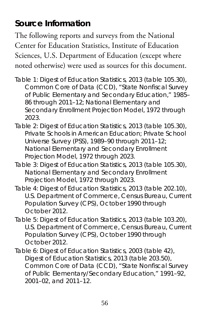## **Source Information**

The following reports and surveys from the National Center for Education Statistics, Institute of Education Sciences, U.S. Department of Education (except where noted otherwise) were used as sources for this document.

- Table 1: *Digest of Education Statistics, 2013* (table 105.30), Common Core of Data (CCD), "State Nonfiscal Survey of Public Elementary and Secondary Education," 1985– 86 through 2011–12; National Elementary and Secondary Enrollment Projection Model, 1972 through 2023.
- Table 2: *Digest of Education Statistics, 2013* (table 105.30), *Private Schools in American Education;* Private School Universe Survey (PSS), 1989–90 through 2011–12; National Elementary and Secondary Enrollment Projection Model, 1972 through 2023*.*
- Table 3: *Digest of Education Statistics, 2013* (table 105.30), National Elementary and Secondary Enrollment Projection Model, 1972 through 2023*.*
- Table 4: *Digest of Education Statistics, 2013* (table 202.10), U.S. Department of Commerce, Census Bureau, Current Population Survey (CPS), October 1990 through October 2012.
- Table 5: *Digest of Education Statistics, 2013* (table 103.20), U.S. Department of Commerce, Census Bureau, Current Population Survey (CPS), October 1990 through October 2012.
- Table 6: *Digest of Education Statistics, 2003* (table 42), *Digest of Education Statistics, 2013* (table 203.50), Common Core of Data (CCD), "State Nonfiscal Survey of Public Elementary/Secondary Education," 1991–92, 2001–02, and 2011–12.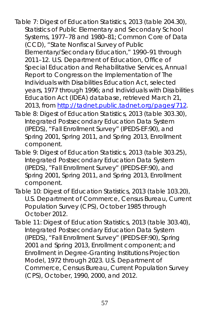- Table 7: *Digest of Education Statistics, 2013* (table 204.30), *Statistics of Public Elementary and Secondary School Systems,* 1977–78 and 1980–81; Common Core of Data (CCD), "State Nonfiscal Survey of Public Elementary/Secondary Education," 1990–91 through 2011–12*.* U.S. Department of Education, Office of Special Education and Rehabilitative Services, *Annual Report to Congress on the Implementation of The Individuals with Disabilities Education Act,* selected years, 1977 through 1996; and Individuals with Disabilities Education Act (IDEA) database, retrieved March 21, 2013, fro[m http://tadnet.public.tadnet.org/pages/712.](http://tadnet.public.tadnet.org/pages/712)
- Table 8: *Digest of Education Statistics, 2013* (table 303.30), Integrated Postsecondary Education Data System (IPEDS), "Fall Enrollment Survey" (IPEDS-EF:90), and Spring 2001, Spring 2011, and Spring 2013, Enrollment component.
- Table 9: *Digest of Education Statistics, 2013* (table 303.25), Integrated Postsecondary Education Data System (IPEDS), "Fall Enrollment Survey" (IPEDS-EF:90), and Spring 2001, Spring 2011, and Spring 2013, Enrollment component.
- Table 10: *Digest of Education Statistics, 2013* (table 103.20), U.S. Department of Commerce, Census Bureau, Current Population Survey (CPS), October 1985 through October 2012.
- Table 11: *Digest of Education Statistics, 2013* (table 303.40), Integrated Postsecondary Education Data System (IPEDS), "Fall Enrollment Survey" (IPEDS-EF:90), Spring 2001 and Spring 2013, Enrollment component; and Enrollment in Degree-Granting Institutions Projection Model, 1972 through 2023*.* U.S. Department of Commerce, Census Bureau, Current Population Survey (CPS), October, 1990, 2000, and 2012.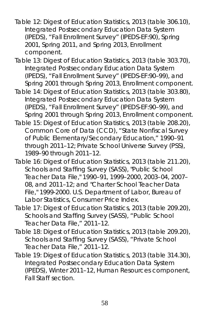- Table 12: *Digest of Education Statistics, 2013* (table 306.10), Integrated Postsecondary Education Data System (IPEDS), "Fall Enrollment Survey" (IPEDS-EF:90), Spring 2001, Spring 2011, and Spring 2013, Enrollment component.
- Table 13: *Digest of Education Statistics, 2013* (table 303.70), Integrated Postsecondary Education Data System (IPEDS), "Fall Enrollment Survey" (IPEDS-EF:90–99), and Spring 2001 through Spring 2013, Enrollment component.
- Table 14: *Digest of Education Statistics, 2013* (table 303.80), Integrated Postsecondary Education Data System (IPEDS), "Fall Enrollment Survey" (IPEDS-EF:90–99), and Spring 2001 through Spring 2013, Enrollment component.
- Table 15: *Digest of Education Statistics, 2013* (table 208.20), Common Core of Data (CCD), "State Nonfiscal Survey of Public Elementary/Secondary Education," 1990–91 through 2011–12; Private School Universe Survey (PSS), 1989–90 through 2011–12.
- Table 16: *Digest of Education Statistics, 2013* (table 211.20), Schools and Staffing Survey (SASS), "Public School Teacher Data File," 1990–91, 1999–2000, 2003–04, 2007– 08, and 2011–12; and "Charter School Teacher Data File," 1999-2000. U.S. Department of Labor, Bureau of Labor Statistics, Consumer Price Index.
- Table 17: *Digest of Education Statistics, 2013* (table 209.20), Schools and Staffing Survey (SASS), "Public School Teacher Data File," 2011–12.
- Table 18: *Digest of Education Statistics, 2013* (table 209.20), Schools and Staffing Survey (SASS), "Private School Teacher Data File," 2011–12.
- Table 19: *Digest of Education Statistics, 2013* (table 314.30), Integrated Postsecondary Education Data System (IPEDS), Winter 2011–12, Human Resources component, Fall Staff section.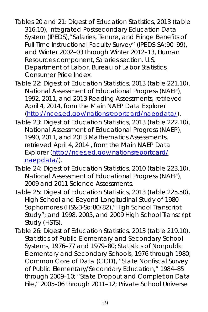- Tables 20 and 21: *Digest of Education Statistics, 2013* (table 316.10), Integrated Postsecondary Education Data System (IPEDS),"Salaries, Tenure, and Fringe Benefits of Full-Time Instructional Faculty Survey" (IPEDS-SA:90–99), and Winter 2002–03 through Winter 2012–13, Human Resources component, Salaries section. U.S. Department of Labor, Bureau of Labor Statistics, Consumer Price Index.
- Table 22: *Digest of Education Statistics, 2013* (table 221.10), National Assessment of Educational Progress (NAEP), 1992, 2011, and 2013 Reading Assessments, retrieved April 4, 2014, from the Main NAEP Data Explorer [\(http://nces.ed.gov/nationsreportcard/naepdata/\)](http://nces.ed.gov/nationsreportcard/naepdata/).
- Table 23: *Digest of Education Statistics, 2013* (table 222.10), National Assessment of Educational Progress (NAEP), 1990, 2011, and 2013 Mathematics Assessments, retrieved April 4, 2014 , from the Main NAEP Data Explorer [\(http://nces.ed.gov/nationsreportcard/](http://nces.ed.gov/nationsreportcard/naepdata/) [naepdata/\)](http://nces.ed.gov/nationsreportcard/naepdata/).
- Table 24: *Digest of Education Statistics, 2010* (table 223.10), National Assessment of Educational Progress (NAEP), 2009 and 2011 Science Assessments.
- Table 25: *Digest of Education Statistics, 2013* (table 225.50), High School and Beyond Longitudinal Study of 1980 Sophomores (HS&B-So:80/82),"High School Transcript Study"; and 1998, 2005, and 2009 High School Transcript Study (HSTS).
- Table 26: *Digest of Education Statistics, 2013* (table 219.10), *Statistics of Public Elementary and Secondary School Systems,* 1976–77 and 1979–80; *Statistics of Nonpublic Elementary and Secondary Schools,* 1976 through 1980; Common Core of Data (CCD), "State Nonfiscal Survey of Public Elementary/Secondary Education," 1984–85 through 2009–10; "State Dropout and Completion Data File," 2005–06 through 2011–12; Private School Universe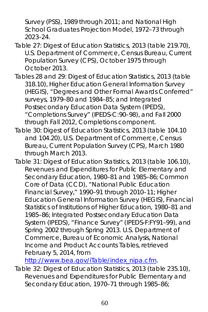Survey (PSS), 1989 through 2011; and National High School Graduates Projection Model, 1972–73 through 2023–24.

- Table 27: *Digest of Education Statistics, 2013* (table 219.70), U.S. Department of Commerce, Census Bureau, Current Population Survey (CPS), October 1975 through October 2013.
- Tables 28 and 29: *Digest of Education Statistics, 2013* (table 318.10), Higher Education General Information Survey (HEGIS), "Degrees and Other Formal Awards Conferred" surveys, 1979–80 and 1984–85; and Integrated Postsecondary Education Data System (IPEDS), "Completions Survey" (IPEDS-C:90–98), and Fall 2000 through Fall 2012, Completions component.
- Table 30: *Digest of Education Statistics, 2013* (table 104.10 and 104.20), U.S. Department of Commerce, Census Bureau, Current Population Survey (CPS), March 1980 through March 2013.
- Table 31: *Digest of Education Statistics, 2013* (table 106.10), *Revenues and Expenditures for Public Elementary and Secondary Education,* 1980–81 and 1985–86; Common Core of Data (CCD), "National Public Education Financial Survey," 1990–91 through 2010–11; Higher Education General Information Survey (HEGIS), *Financial Statistics of Institutions of Higher Education,* 1980–81 and 1985–86; Integrated Postsecondary Education Data System (IPEDS), "Finance Survey" (IPEDS-F:FY91–99), and Spring 2002 through Spring 2013. U.S. Department of Commerce, Bureau of Economic Analysis, National Income and Product Accounts Tables, retrieved February 5, 2014, from

[http://www.bea.gov/iTable/index\\_nipa.cfm.](http://www.bea.gov/iTable/index_nipa.cfm)

Table 32: *Digest of Education Statistics, 2013* (table 235.10), *Revenues and Expenditures for Public Elementary and Secondary Education,* 1970–71 through 1985–86;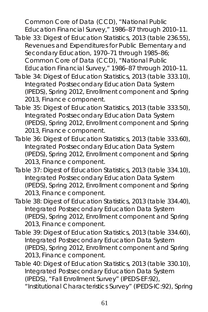Common Core of Data (CCD), "National Public Education Financial Survey," 1986–87 through 2010–11.

- Table 33: *Digest of Education Statistics, 2013* (table 236.55), *Revenues and Expenditures for Public Elementary and Secondary Education,* 1970–71 through 1985–86; Common Core of Data (CCD), "National Public Education Financial Survey," 1986–87 through 2010–11.
- Table 34: *Digest of Education Statistics, 2013* (table 333.10), Integrated Postsecondary Education Data System (IPEDS), Spring 2012, Enrollment component and Spring 2013, Finance component.
- Table 35: *Digest of Education Statistics, 2013* (table 333.50), Integrated Postsecondary Education Data System (IPEDS), Spring 2012, Enrollment component and Spring 2013, Finance component.
- Table 36: *Digest of Education Statistics, 2013* (table 333.60), Integrated Postsecondary Education Data System (IPEDS), Spring 2012, Enrollment component and Spring 2013, Finance component.
- Table 37: *Digest of Education Statistics, 2013* (table 334.10), Integrated Postsecondary Education Data System (IPEDS), Spring 2012, Enrollment component and Spring 2013, Finance component.
- Table 38: *Digest of Education Statistics, 2013* (table 334.40), Integrated Postsecondary Education Data System (IPEDS), Spring 2012, Enrollment component and Spring 2013, Finance component.
- Table 39: *Digest of Education Statistics, 2013* (table 334.60), Integrated Postsecondary Education Data System (IPEDS), Spring 2012, Enrollment component and Spring 2013, Finance component.
- Table 40: *Digest of Education Statistics, 2013* (table 330.10), Integrated Postsecondary Education Data System (IPEDS), "Fall Enrollment Survey" (IPEDS-EF:92), "Institutional Characteristics Survey" (IPEDS-IC:92), Spring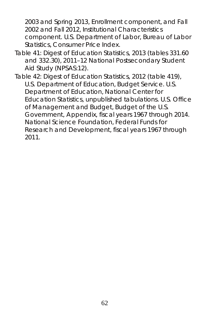2003 and Spring 2013, Enrollment component, and Fall 2002 and Fall 2012, Institutional Characteristics component. U.S. Department of Labor, Bureau of Labor Statistics, Consumer Price Index.

- Table 41: *Digest of Education Statistics, 2013* (tables 331.60 and 332.30), 2011–12 National Postsecondary Student Aid Study (NPSAS:12).
- Table 42: *Digest of Education Statistics, 2012* (table 419), U.S. Department of Education, Budget Service. U.S. Department of Education, National Center for Education Statistics, unpublished tabulations. U.S. Office of Management and Budget, *Budget of the U.S. Government, Appendix,* fiscal years 1967 through 2014. National Science Foundation, *Federal Funds for Research and Development,* fiscal years 1967 through 2011.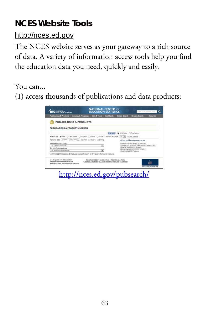## **NCES Website Tools**

## http://nces.ed.gov

The NCES website serves as your gateway to a rich source of data. A variety of information access tools help you find the education data you need, quickly and easily.

You can...

(1) access thousands of publications and data products:

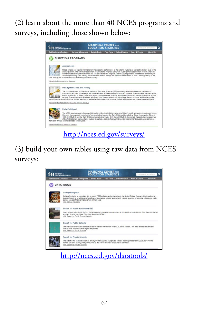(2) learn about the more than 40 NCES programs and surveys, including those shown below:



## (3) build your own tables using raw data from NCES surveys:



<http://nces.ed.gov/datatools/>